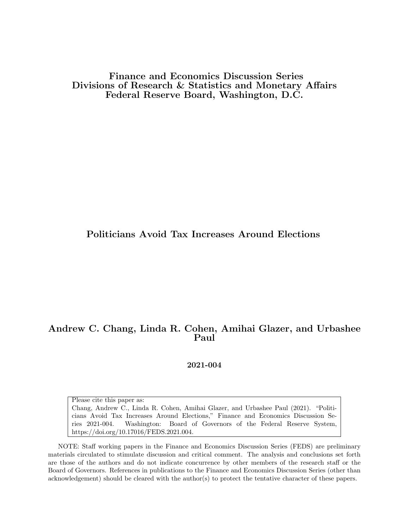Finance and Economics Discussion Series Divisions of Research & Statistics and Monetary Affairs Federal Reserve Board, Washington, D.C.

#### Politicians Avoid Tax Increases Around Elections

#### Andrew C. Chang, Linda R. Cohen, Amihai Glazer, and Urbashee Paul

2021-004

Please cite this paper as:

Chang, Andrew C., Linda R. Cohen, Amihai Glazer, and Urbashee Paul (2021). "Politicians Avoid Tax Increases Around Elections," Finance and Economics Discussion Series 2021-004. Washington: Board of Governors of the Federal Reserve System, https://doi.org/10.17016/FEDS.2021.004.

NOTE: Staff working papers in the Finance and Economics Discussion Series (FEDS) are preliminary materials circulated to stimulate discussion and critical comment. The analysis and conclusions set forth are those of the authors and do not indicate concurrence by other members of the research staff or the Board of Governors. References in publications to the Finance and Economics Discussion Series (other than acknowledgement) should be cleared with the author(s) to protect the tentative character of these papers.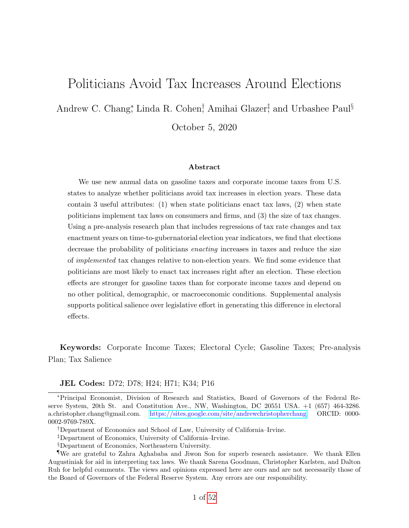## Politicians Avoid Tax Increases Around Elections

Andrew C. Chang<sup>\*</sup>, Linda R. Cohen<sup>†</sup>, Amihai Glazer<sup>‡</sup> and Urbashee Paul<sup>§</sup>

October 5, 2020

#### Abstract

We use new annual data on gasoline taxes and corporate income taxes from U.S. states to analyze whether politicians avoid tax increases in election years. These data contain 3 useful attributes: (1) when state politicians enact tax laws, (2) when state politicians implement tax laws on consumers and firms, and (3) the size of tax changes. Using a pre-analysis research plan that includes regressions of tax rate changes and tax enactment years on time-to-gubernatorial election year indicators, we find that elections decrease the probability of politicians enacting increases in taxes and reduce the size of implemented tax changes relative to non-election years. We find some evidence that politicians are most likely to enact tax increases right after an election. These election effects are stronger for gasoline taxes than for corporate income taxes and depend on no other political, demographic, or macroeconomic conditions. Supplemental analysis supports political salience over legislative effort in generating this difference in electoral effects.

Keywords: Corporate Income Taxes; Electoral Cycle; Gasoline Taxes; Pre-analysis Plan; Tax Salience

JEL Codes: D72; D78; H24; H71; K34; P16

<sup>∗</sup>Principal Economist, Division of Research and Statistics, Board of Governors of the Federal Reserve System, 20th St. and Constitution Ave., NW, Washington, DC 20551 USA. +1 (657) 464-3286. a.christopher.chang@gmail.com. [https://sites.google.com/site/andrewchristopherchang.](https://sites.google.com/site/andrewchristopherchang/) ORCID: 0000- 0002-9769-789X.

<sup>†</sup>Department of Economics and School of Law, University of California–Irvine.

<sup>‡</sup>Department of Economics, University of California–Irvine.

<sup>§</sup>Department of Economics, Northeastern University.

<sup>¶</sup>We are grateful to Zahra Aghababa and Jiwon Son for superb research assistance. We thank Ellen Augustiniak for aid in interpreting tax laws. We thank Sarena Goodman, Christopher Karlsten, and Dalton Ruh for helpful comments. The views and opinions expressed here are ours and are not necessarily those of the Board of Governors of the Federal Reserve System. Any errors are our responsibility.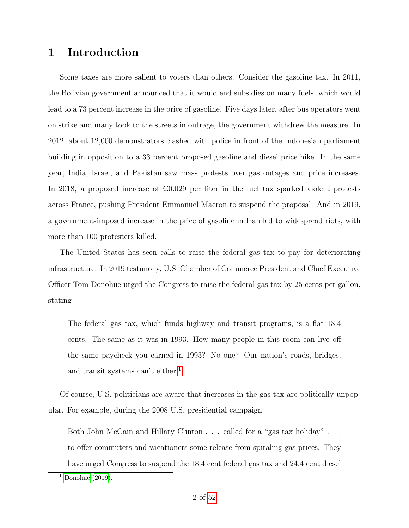## 1 Introduction

Some taxes are more salient to voters than others. Consider the gasoline tax. In 2011, the Bolivian government announced that it would end subsidies on many fuels, which would lead to a 73 percent increase in the price of gasoline. Five days later, after bus operators went on strike and many took to the streets in outrage, the government withdrew the measure. In 2012, about 12,000 demonstrators clashed with police in front of the Indonesian parliament building in opposition to a 33 percent proposed gasoline and diesel price hike. In the same year, India, Israel, and Pakistan saw mass protests over gas outages and price increases. In 2018, a proposed increase of  $\epsilon 0.029$  per liter in the fuel tax sparked violent protests across France, pushing President Emmanuel Macron to suspend the proposal. And in 2019, a government-imposed increase in the price of gasoline in Iran led to widespread riots, with more than 100 protesters killed.

The United States has seen calls to raise the federal gas tax to pay for deteriorating infrastructure. In 2019 testimony, U.S. Chamber of Commerce President and Chief Executive Officer Tom Donohue urged the Congress to raise the federal gas tax by 25 cents per gallon, stating

The federal gas tax, which funds highway and transit programs, is a flat 18.4 cents. The same as it was in 1993. How many people in this room can live off the same paycheck you earned in 1993? No one? Our nation's roads, bridges, and transit systems can't either.<sup>[1](#page-2-0)</sup>

Of course, U.S. politicians are aware that increases in the gas tax are politically unpopular. For example, during the 2008 U.S. presidential campaign

Both John McCain and Hillary Clinton . . . called for a "gas tax holiday" . . . to offer commuters and vacationers some release from spiraling gas prices. They have urged Congress to suspend the 18.4 cent federal gas tax and 24.4 cent diesel

<span id="page-2-0"></span> $<sup>1</sup>$  [Donohue](#page-19-0) [\(2019\)](#page-19-0).</sup>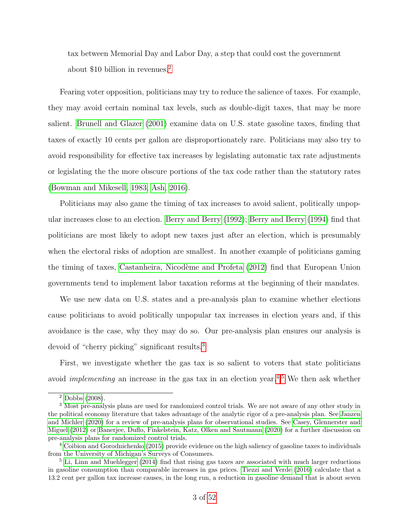tax between Memorial Day and Labor Day, a step that could cost the government about \$10 billion in revenues.[2](#page-3-0)

Fearing voter opposition, politicians may try to reduce the salience of taxes. For example, they may avoid certain nominal tax levels, such as double-digit taxes, that may be more salient. [Brunell and Glazer](#page-18-0) [\(2001\)](#page-18-0) examine data on U.S. state gasoline taxes, finding that taxes of exactly 10 cents per gallon are disproportionately rare. Politicians may also try to avoid responsibility for effective tax increases by legislating automatic tax rate adjustments or legislating the the more obscure portions of the tax code rather than the statutory rates [\(Bowman and Mikesell, 1983;](#page-17-0) [Ash, 2016\)](#page-17-1).

Politicians may also game the timing of tax increases to avoid salient, politically unpopular increases close to an election. [Berry and Berry](#page-17-2) [\(1992\)](#page-17-2); [Berry and Berry](#page-17-3) [\(1994\)](#page-17-3) find that politicians are most likely to adopt new taxes just after an election, which is presumably when the electoral risks of adoption are smallest. In another example of politicians gaming the timing of taxes, Castanheira, Nicodème and Profeta [\(2012\)](#page-18-1) find that European Union governments tend to implement labor taxation reforms at the beginning of their mandates.

We use new data on U.S. states and a pre-analysis plan to examine whether elections cause politicians to avoid politically unpopular tax increases in election years and, if this avoidance is the case, why they may do so. Our pre-analysis plan ensures our analysis is devoid of "cherry picking" significant results.[3](#page-3-1)

First, we investigate whether the gas tax is so salient to voters that state politicians avoid *implementing* an increase in the gas tax in an election year.<sup>[4](#page-3-2),[5](#page-3-3)</sup> We then ask whether

<span id="page-3-1"></span><span id="page-3-0"></span><sup>2</sup> [Dobbs](#page-18-2) [\(2008\)](#page-18-2).

<sup>3</sup> Most pre-analysis plans are used for randomized control trials. We are not aware of any other study in the political economy literature that takes advantage of the analytic rigor of a pre-analysis plan. See [Janzen](#page-20-0) [and Michler](#page-20-0) [\(2020\)](#page-20-0) for a review of pre-analysis plans for observational studies. See [Casey, Glennerster and](#page-18-3) [Miguel](#page-18-3) [\(2012\)](#page-18-3) or [Banerjee, Duflo, Finkelstein, Katz, Olken and Sautmann](#page-17-4) [\(2020\)](#page-17-4) for a further discussion on pre-analysis plans for randomized control trials.

<span id="page-3-2"></span><sup>4</sup> [Coibion and Gorodnichenko](#page-18-4) [\(2015\)](#page-18-4) provide evidence on the high saliency of gasoline taxes to individuals from the University of Michigan's Surveys of Consumers.

<span id="page-3-3"></span><sup>&</sup>lt;sup>5</sup> [Li, Linn and Muehlegger](#page-21-0) [\(2014\)](#page-21-0) find that rising gas taxes are associated with much larger reductions in gasoline consumption than comparable increases in gas prices. [Tiezzi and Verde](#page-21-1) [\(2016\)](#page-21-1) calculate that a 13.2 cent per gallon tax increase causes, in the long run, a reduction in gasoline demand that is about seven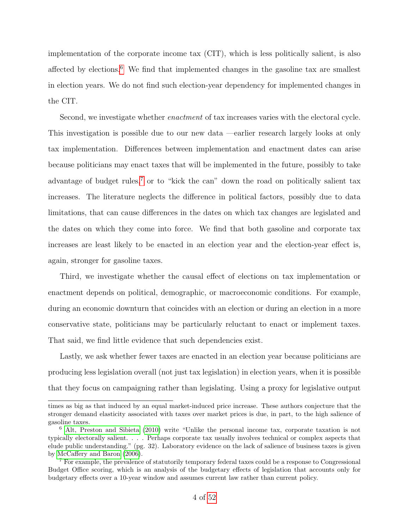implementation of the corporate income tax (CIT), which is less politically salient, is also affected by elections.<sup>[6](#page-4-0)</sup> We find that implemented changes in the gasoline tax are smallest in election years. We do not find such election-year dependency for implemented changes in the CIT.

Second, we investigate whether *enactment* of tax increases varies with the electoral cycle. This investigation is possible due to our new data —earlier research largely looks at only tax implementation. Differences between implementation and enactment dates can arise because politicians may enact taxes that will be implemented in the future, possibly to take advantage of budget rules,<sup>[7](#page-4-1)</sup> or to "kick the can" down the road on politically salient tax increases. The literature neglects the difference in political factors, possibly due to data limitations, that can cause differences in the dates on which tax changes are legislated and the dates on which they come into force. We find that both gasoline and corporate tax increases are least likely to be enacted in an election year and the election-year effect is, again, stronger for gasoline taxes.

Third, we investigate whether the causal effect of elections on tax implementation or enactment depends on political, demographic, or macroeconomic conditions. For example, during an economic downturn that coincides with an election or during an election in a more conservative state, politicians may be particularly reluctant to enact or implement taxes. That said, we find little evidence that such dependencies exist.

Lastly, we ask whether fewer taxes are enacted in an election year because politicians are producing less legislation overall (not just tax legislation) in election years, when it is possible that they focus on campaigning rather than legislating. Using a proxy for legislative output

times as big as that induced by an equal market-induced price increase. These authors conjecture that the stronger demand elasticity associated with taxes over market prices is due, in part, to the high salience of gasoline taxes.

<span id="page-4-0"></span><sup>6</sup> [Alt, Preston and Sibieta](#page-17-5) [\(2010\)](#page-17-5) write "Unlike the personal income tax, corporate taxation is not typically electorally salient. . . . Perhaps corporate tax usually involves technical or complex aspects that elude public understanding." (pg. 32). Laboratory evidence on the lack of salience of business taxes is given by [McCaffery and Baron](#page-21-2) [\(2006\)](#page-21-2).

<span id="page-4-1"></span><sup>7</sup> For example, the prevalence of statutorily temporary federal taxes could be a response to Congressional Budget Office scoring, which is an analysis of the budgetary effects of legislation that accounts only for budgetary effects over a 10-year window and assumes current law rather than current policy.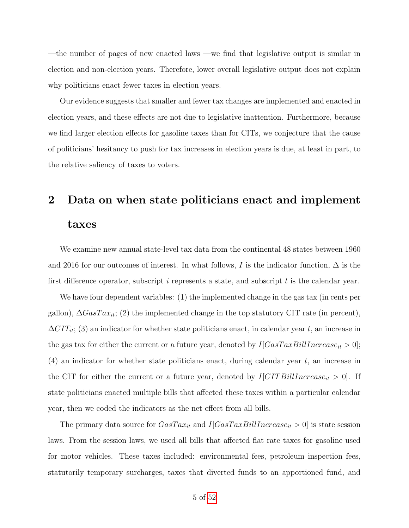—the number of pages of new enacted laws —we find that legislative output is similar in election and non-election years. Therefore, lower overall legislative output does not explain why politicians enact fewer taxes in election years.

Our evidence suggests that smaller and fewer tax changes are implemented and enacted in election years, and these effects are not due to legislative inattention. Furthermore, because we find larger election effects for gasoline taxes than for CITs, we conjecture that the cause of politicians' hesitancy to push for tax increases in election years is due, at least in part, to the relative saliency of taxes to voters.

# 2 Data on when state politicians enact and implement taxes

We examine new annual state-level tax data from the continental 48 states between 1960 and 2016 for our outcomes of interest. In what follows, I is the indicator function,  $\Delta$  is the first difference operator, subscript  $i$  represents a state, and subscript  $t$  is the calendar year.

We have four dependent variables: (1) the implemented change in the gas tax (in cents per gallon),  $\Delta GasTax_{it}$ ; (2) the implemented change in the top statutory CIT rate (in percent),  $\Delta CIT_{it}$ ; (3) an indicator for whether state politicians enact, in calendar year t, an increase in the gas tax for either the current or a future year, denoted by  $I[GasTaxBill Increase_{it} > 0];$  $(4)$  an indicator for whether state politicians enact, during calendar year t, an increase in the CIT for either the current or a future year, denoted by  $I[CTBillIncrease_{it} > 0]$ . If state politicians enacted multiple bills that affected these taxes within a particular calendar year, then we coded the indicators as the net effect from all bills.

The primary data source for  $GasTax_{it}$  and  $I[GasTaxBill Increase_{it} > 0]$  is state session laws. From the session laws, we used all bills that affected flat rate taxes for gasoline used for motor vehicles. These taxes included: environmental fees, petroleum inspection fees, statutorily temporary surcharges, taxes that diverted funds to an apportioned fund, and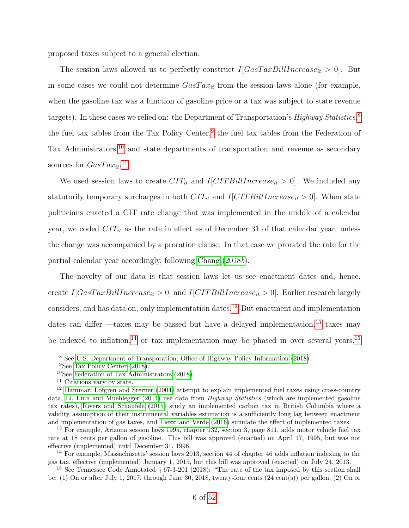proposed taxes subject to a general election.

The session laws allowed us to perfectly construct  $I[GasTaxBill Increase_{it} > 0]$ . But in some cases we could not determine  $GasTax_{it}$  from the session laws alone (for example, when the gasoline tax was a function of gasoline price or a tax was subject to state revenue targets). In these cases we relied on: the Department of Transportation's *Highway Statistics*,<sup>[8](#page-6-0)</sup> the fuel tax tables from the Tax Policy Center, $9$  the fuel tax tables from the Federation of Tax Administrators,[10](#page-6-2) and state departments of transportation and revenue as secondary sources for  $GasT$  $ax_{it}$ .<sup>[11](#page-6-3)</sup>

We used session laws to create  $CIT_{it}$  and  $I[CTBillIncrease_{it} > 0]$ . We included any statutorily temporary surcharges in both  $CIT_{it}$  and  $I[CTBillIncrease_{it} > 0]$ . When state politicians enacted a CIT rate change that was implemented in the middle of a calendar year, we coded  $CIT_{it}$  as the rate in effect as of December 31 of that calendar year, unless the change was accompanied by a proration clause. In that case we prorated the rate for the partial calendar year accordingly, following [Chang](#page-18-5) [\(2018](#page-18-5)b).

The novelty of our data is that session laws let us see enactment dates and, hence, create  $I[GasTaxBillIncrease_{it} > 0]$  and  $I[CITBillIncrease_{it} > 0]$ . Earlier research largely considers, and has data on, only implementation dates.[12](#page-6-4) But enactment and implementation dates can differ —taxes may be passed but have a delayed implementation, $^{13}$  $^{13}$  $^{13}$  taxes may be indexed to inflation,<sup>[14](#page-6-6)</sup> or tax implementation may be phased in over several years.<sup>[15](#page-6-7)</sup>

<span id="page-6-0"></span><sup>8</sup> See [U.S. Department of Transporation, Office of Highway Policy Information](#page-22-0) [\(2018\)](#page-22-0).

<span id="page-6-1"></span><sup>9</sup>See [Tax Policy Center](#page-21-3) [\(2018\)](#page-21-3).

<span id="page-6-2"></span><sup>10</sup>See [Federation of Tax Administrators](#page-19-1) [\(2018\)](#page-19-1).

<span id="page-6-4"></span><span id="page-6-3"></span><sup>11</sup> Citations vary by state.

 $12$  Hammar, Löfgren and Sterner [\(2004\)](#page-20-1) attempt to explain implemented fuel taxes using cross-country data, [Li, Linn and Muehlegger](#page-21-0) [\(2014\)](#page-21-0) use data from *Highway Statistics* (which are implemented gasoline tax rates), [Rivers and Schaufele](#page-21-4) [\(2015\)](#page-21-4) study an implemented carbon tax in British Columbia where a validity assumption of their instrumental variables estimation is a sufficiently long lag between enactment and implementation of gas taxes, and [Tiezzi and Verde](#page-21-1) [\(2016\)](#page-21-1) simulate the effect of implemented taxes.

<span id="page-6-5"></span><sup>13</sup> For example, Arizona session laws 1995, chapter 132, section 3, page 811, adds motor vehicle fuel tax rate at 18 cents per gallon of gasoline. This bill was approved (enacted) on April 17, 1995, but was not effective (implemented) until December 31, 1996.

<span id="page-6-6"></span><sup>14</sup> For example, Massachusetts' session laws 2013, section 44 of chapter 46 adds inflation indexing to the gas tax, effective (implemented) January 1, 2015, but this bill was approved (enacted) on July 24, 2013.

<span id="page-6-7"></span><sup>&</sup>lt;sup>15</sup> See Tennessee Code Annotated § 67-3-201 (2018): "The rate of the tax imposed by this section shall be: (1) On or after July 1, 2017, through June 30, 2018, twenty-four cents (24 cent(s)) per gallon; (2) On or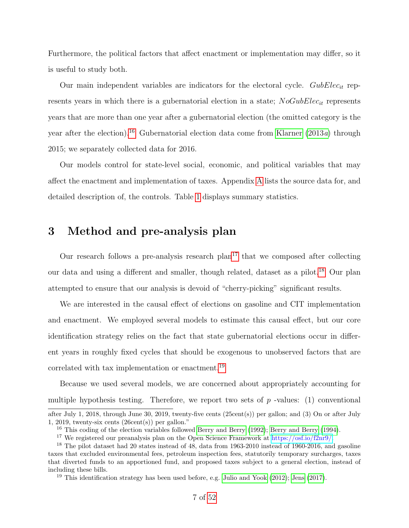Furthermore, the political factors that affect enactment or implementation may differ, so it is useful to study both.

Our main independent variables are indicators for the electoral cycle.  $GubElec_{it}$  represents years in which there is a gubernatorial election in a state;  $NoGubElec_{it}$  represents years that are more than one year after a gubernatorial election (the omitted category is the year after the election).<sup>[16](#page-7-0)</sup> Gubernatorial election data come from [Klarner](#page-20-2) [\(2013](#page-20-2)*a*) through 2015; we separately collected data for 2016.

Our models control for state-level social, economic, and political variables that may affect the enactment and implementation of taxes. Appendix [A](#page-23-0) lists the source data for, and detailed description of, the controls. Table [1](#page-47-0) displays summary statistics.

### 3 Method and pre-analysis plan

Our research follows a pre-analysis research  $plan<sup>17</sup>$  $plan<sup>17</sup>$  $plan<sup>17</sup>$  that we composed after collecting our data and using a different and smaller, though related, dataset as a pilot.<sup>[18](#page-7-2)</sup> Our plan attempted to ensure that our analysis is devoid of "cherry-picking" significant results.

We are interested in the causal effect of elections on gasoline and CIT implementation and enactment. We employed several models to estimate this causal effect, but our core identification strategy relies on the fact that state gubernatorial elections occur in different years in roughly fixed cycles that should be exogenous to unobserved factors that are correlated with tax implementation or enactment.[19](#page-7-3)

Because we used several models, we are concerned about appropriately accounting for multiple hypothesis testing. Therefore, we report two sets of  $p$ -values: (1) conventional after July 1, 2018, through June 30, 2019, twenty-five cents (25cent(s)) per gallon; and (3) On or after July 1, 2019, twenty-six cents  $(26cent(s))$  per gallon."

<span id="page-7-0"></span><sup>&</sup>lt;sup>16</sup> This coding of the election variables followed [Berry and Berry](#page-17-3) [\(1992\)](#page-17-2); Berry and Berry [\(1994\)](#page-17-3).

<span id="page-7-2"></span><span id="page-7-1"></span><sup>17</sup> We registered our preanalysis plan on the Open Science Framework at [https://osf.io/f2nr9/.](https://osf.io/f2nr9/)

<sup>18</sup> The pilot dataset had 20 states instead of 48, data from 1963-2010 instead of 1960-2016, and gasoline taxes that excluded environmental fees, petroleum inspection fees, statutorily temporary surcharges, taxes that diverted funds to an apportioned fund, and proposed taxes subject to a general election, instead of including these bills.

<span id="page-7-3"></span><sup>&</sup>lt;sup>19</sup> This identification strategy has been used before, e.g. [Julio and Yook](#page-20-3) [\(2012\)](#page-20-3); [Jens](#page-20-4) [\(2017\)](#page-20-4).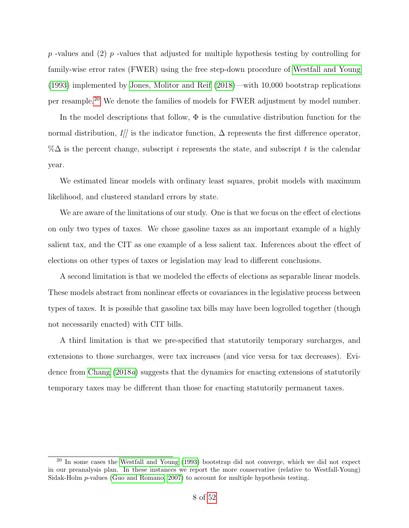$p$ -values and (2)  $p$ -values that adjusted for multiple hypothesis testing by controlling for family-wise error rates (FWER) using the free step-down procedure of [Westfall and Young](#page-22-1) [\(1993\)](#page-22-1) implemented by [Jones, Molitor and Reif](#page-20-5) [\(2018\)](#page-20-5)—with 10,000 bootstrap replications per resample.[20](#page-8-0) We denote the families of models for FWER adjustment by model number.

In the model descriptions that follow,  $\Phi$  is the cumulative distribution function for the normal distribution,  $I/J$  is the indicator function,  $\Delta$  represents the first difference operator, % $\Delta$  is the percent change, subscript i represents the state, and subscript t is the calendar year.

We estimated linear models with ordinary least squares, probit models with maximum likelihood, and clustered standard errors by state.

We are aware of the limitations of our study. One is that we focus on the effect of elections on only two types of taxes. We chose gasoline taxes as an important example of a highly salient tax, and the CIT as one example of a less salient tax. Inferences about the effect of elections on other types of taxes or legislation may lead to different conclusions.

A second limitation is that we modeled the effects of elections as separable linear models. These models abstract from nonlinear effects or covariances in the legislative process between types of taxes. It is possible that gasoline tax bills may have been logrolled together (though not necessarily enacted) with CIT bills.

A third limitation is that we pre-specified that statutorily temporary surcharges, and extensions to those surcharges, were tax increases (and vice versa for tax decreases). Evidence from [Chang](#page-18-6) [\(2018](#page-18-6)a) suggests that the dynamics for enacting extensions of statutorily temporary taxes may be different than those for enacting statutorily permanent taxes.

<span id="page-8-0"></span><sup>&</sup>lt;sup>20</sup> In some cases the [Westfall and Young](#page-22-1) [\(1993\)](#page-22-1) bootstrap did not converge, which we did not expect in our preanalysis plan. In these instances we report the more conservative (relative to Westfall-Young) Sidak-Holm p-values [\(Guo and Romano, 2007\)](#page-20-6) to account for multiple hypothesis testing.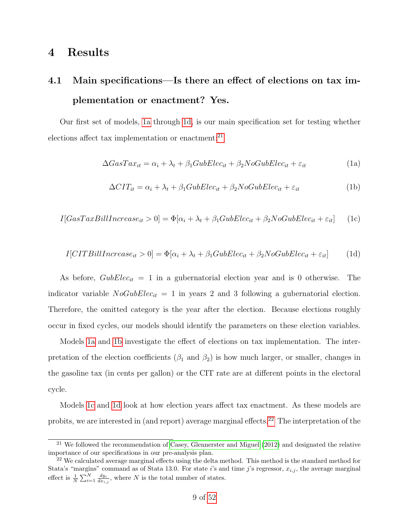### <span id="page-9-6"></span>4 Results

# 4.1 Main specifications—Is there an effect of elections on tax implementation or enactment? Yes.

Our first set of models, [1a](#page-9-0) through [1d,](#page-9-1) is our main specification set for testing whether elections affect tax implementation or enactment:<sup>[21](#page-9-2)</sup>

<span id="page-9-0"></span>
$$
\Delta Gas Tax_{it} = \alpha_i + \lambda_t + \beta_1 GubElec_{it} + \beta_2 NoGubElec_{it} + \varepsilon_{it}
$$
\n(1a)

<span id="page-9-3"></span>
$$
\Delta CIT_{it} = \alpha_i + \lambda_t + \beta_1 GubElec_{it} + \beta_2 NoGubElec_{it} + \varepsilon_{it}
$$
\n(1b)

<span id="page-9-4"></span>
$$
I[GasTaxBill Increase_{it} > 0] = \Phi[\alpha_i + \lambda_t + \beta_1 GubElec_{it} + \beta_2 NoGubElec_{it} + \varepsilon_{it}] \tag{1c}
$$

<span id="page-9-1"></span>
$$
I[CTBillIncrease_{it} > 0] = \Phi[\alpha_i + \lambda_t + \beta_1 GubElec_{it} + \beta_2 NoGubElec_{it} + \varepsilon_{it}] \tag{1d}
$$

As before,  $GubElec_{it} = 1$  in a gubernatorial election year and is 0 otherwise. The indicator variable  $NoGubElec_{it} = 1$  in years 2 and 3 following a gubernatorial election. Therefore, the omitted category is the year after the election. Because elections roughly occur in fixed cycles, our models should identify the parameters on these election variables.

Models [1a](#page-9-0) and [1b](#page-9-3) investigate the effect of elections on tax implementation. The interpretation of the election coefficients ( $\beta_1$  and  $\beta_2$ ) is how much larger, or smaller, changes in the gasoline tax (in cents per gallon) or the CIT rate are at different points in the electoral cycle.

Models [1c](#page-9-4) and [1d](#page-9-1) look at how election years affect tax enactment. As these models are probits, we are interested in (and report) average marginal effects.[22](#page-9-5) The interpretation of the

<span id="page-9-2"></span> $21$  We followed the recommendation of [Casey, Glennerster and Miguel](#page-18-3) [\(2012\)](#page-18-3) and designated the relative importance of our specifications in our pre-analysis plan.

<span id="page-9-5"></span><sup>&</sup>lt;sup>22</sup> We calculated average marginal effects using the delta method. This method is the standard method for Stata's "margins" command as of Stata 13.0. For state i's and time j's regressor,  $x_{i,j}$ , the average marginal effect is  $\frac{1}{N} \sum_{i=1}^{N} \frac{dy_i}{dx_{i,j}}$ , where N is the total number of states.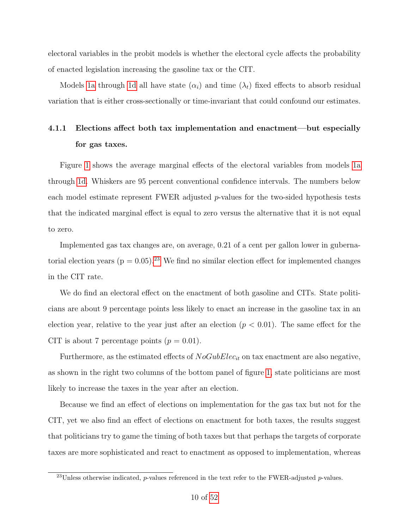electoral variables in the probit models is whether the electoral cycle affects the probability of enacted legislation increasing the gasoline tax or the CIT.

Models [1a](#page-9-0) through [1d](#page-9-1) all have state  $(\alpha_i)$  and time  $(\lambda_t)$  fixed effects to absorb residual variation that is either cross-sectionally or time-invariant that could confound our estimates.

## 4.1.1 Elections affect both tax implementation and enactment—but especially for gas taxes.

Figure [1](#page-35-0) shows the average marginal effects of the electoral variables from models [1a](#page-9-0) through [1d.](#page-9-1) Whiskers are 95 percent conventional confidence intervals. The numbers below each model estimate represent FWER adjusted  $p$ -values for the two-sided hypothesis tests that the indicated marginal effect is equal to zero versus the alternative that it is not equal to zero.

Implemented gas tax changes are, on average, 0.21 of a cent per gallon lower in gubernatorial election years ( $p = 0.05$ ).<sup>[23](#page-10-0)</sup> We find no similar election effect for implemented changes in the CIT rate.

We do find an electoral effect on the enactment of both gasoline and CITs. State politicians are about 9 percentage points less likely to enact an increase in the gasoline tax in an election year, relative to the year just after an election  $(p < 0.01)$ . The same effect for the CIT is about 7 percentage points  $(p = 0.01)$ .

Furthermore, as the estimated effects of  $NoGubElec_{it}$  on tax enactment are also negative, as shown in the right two columns of the bottom panel of figure [1,](#page-35-0) state politicians are most likely to increase the taxes in the year after an election.

Because we find an effect of elections on implementation for the gas tax but not for the CIT, yet we also find an effect of elections on enactment for both taxes, the results suggest that politicians try to game the timing of both taxes but that perhaps the targets of corporate taxes are more sophisticated and react to enactment as opposed to implementation, whereas

<span id="page-10-0"></span> $^{23}$ Unless otherwise indicated, p-values referenced in the text refer to the FWER-adjusted p-values.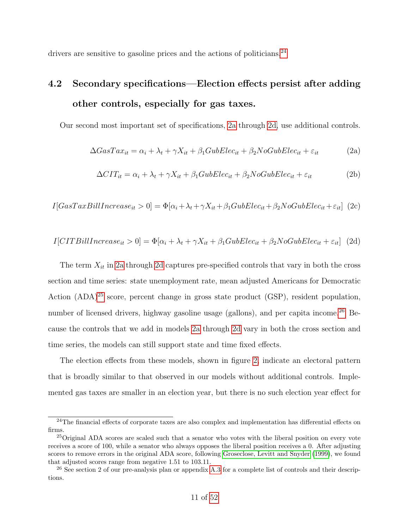drivers are sensitive to gasoline prices and the actions of politicians.<sup>[24](#page-11-0)</sup>

## <span id="page-11-5"></span>4.2 Secondary specifications—Election effects persist after adding other controls, especially for gas taxes.

Our second most important set of specifications, [2a](#page-11-1) through [2d,](#page-11-2) use additional controls.

<span id="page-11-1"></span>
$$
\Delta Gas Tax_{it} = \alpha_i + \lambda_t + \gamma X_{it} + \beta_1 GubElec_{it} + \beta_2 NoGubElec_{it} + \varepsilon_{it}
$$
 (2a)

$$
\Delta CIT_{it} = \alpha_i + \lambda_t + \gamma X_{it} + \beta_1 GubElec_{it} + \beta_2 NoGubElec_{it} + \varepsilon_{it}
$$
\n(2b)

 $I[Gas TaxBill Increase_{it} > 0] = \Phi[\alpha_i + \lambda_t + \gamma X_{it} + \beta_1 GubElec_{it} + \beta_2 NoGubElec_{it} + \varepsilon_{it}]$  (2c)

<span id="page-11-2"></span>
$$
I[CTBillIncrease_{it} > 0] = \Phi[\alpha_i + \lambda_t + \gamma X_{it} + \beta_1 GubElec_{it} + \beta_2 NoGubElec_{it} + \varepsilon_{it}] \tag{2d}
$$

The term  $X_{it}$  in [2a](#page-11-1) through [2d](#page-11-2) captures pre-specified controls that vary in both the cross section and time series: state unemployment rate, mean adjusted Americans for Democratic Action (ADA)<sup>[25](#page-11-3)</sup> score, percent change in gross state product (GSP), resident population, number of licensed drivers, highway gasoline usage (gallons), and per capita income.<sup>[26](#page-11-4)</sup> Because the controls that we add in models [2a](#page-11-1) through [2d](#page-11-2) vary in both the cross section and time series, the models can still support state and time fixed effects.

The election effects from these models, shown in figure [2,](#page-36-0) indicate an electoral pattern that is broadly similar to that observed in our models without additional controls. Implemented gas taxes are smaller in an election year, but there is no such election year effect for

<span id="page-11-0"></span> $^{24}$ The financial effects of corporate taxes are also complex and implementation has differential effects on firms.

<span id="page-11-3"></span><sup>&</sup>lt;sup>25</sup>Original ADA scores are scaled such that a senator who votes with the liberal position on every vote receives a score of 100, while a senator who always opposes the liberal position receives a 0. After adjusting scores to remove errors in the original ADA score, following [Groseclose, Levitt and Snyder](#page-19-2) [\(1999\)](#page-19-2), we found that adjusted scores range from negative 1.51 to 103.11.

<span id="page-11-4"></span> $26$  See section 2 of our pre-analysis plan or appendix [A.3](#page-25-0) for a complete list of controls and their descriptions.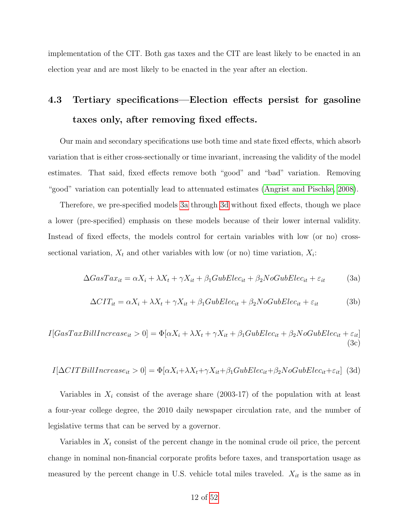implementation of the CIT. Both gas taxes and the CIT are least likely to be enacted in an election year and are most likely to be enacted in the year after an election.

## 4.3 Tertiary specifications—Election effects persist for gasoline taxes only, after removing fixed effects.

Our main and secondary specifications use both time and state fixed effects, which absorb variation that is either cross-sectionally or time invariant, increasing the validity of the model estimates. That said, fixed effects remove both "good" and "bad" variation. Removing "good" variation can potentially lead to attenuated estimates [\(Angrist and Pischke, 2008\)](#page-17-6).

Therefore, we pre-specified models [3a](#page-12-0) through [3d](#page-12-1) without fixed effects, though we place a lower (pre-specified) emphasis on these models because of their lower internal validity. Instead of fixed effects, the models control for certain variables with low (or no) crosssectional variation,  $X_t$  and other variables with low (or no) time variation,  $X_i$ :

<span id="page-12-0"></span>
$$
\Delta GasTax_{it} = \alpha X_i + \lambda X_t + \gamma X_{it} + \beta_1 GubElec_{it} + \beta_2 NoGubElec_{it} + \varepsilon_{it}
$$
 (3a)

$$
\Delta CIT_{it} = \alpha X_i + \lambda X_t + \gamma X_{it} + \beta_1 GubElec_{it} + \beta_2 NoGubElec_{it} + \varepsilon_{it}
$$
 (3b)

$$
I[Gas TaxBillIncrease_{it} > 0] = \Phi[\alpha X_i + \lambda X_t + \gamma X_{it} + \beta_1 GubElec_{it} + \beta_2 NoGubElec_{it} + \varepsilon_{it}]
$$
\n(3c)

<span id="page-12-1"></span>
$$
I[\Delta CITBillIncrease_{it} > 0] = \Phi[\alpha X_i + \lambda X_t + \gamma X_{it} + \beta_1 GubElec_{it} + \beta_2 NoGubElec_{it} + \varepsilon_{it}] \tag{3d}
$$

Variables in  $X_i$  consist of the average share (2003-17) of the population with at least a four-year college degree, the 2010 daily newspaper circulation rate, and the number of legislative terms that can be served by a governor.

Variables in  $X_t$  consist of the percent change in the nominal crude oil price, the percent change in nominal non-financial corporate profits before taxes, and transportation usage as measured by the percent change in U.S. vehicle total miles traveled.  $X_{it}$  is the same as in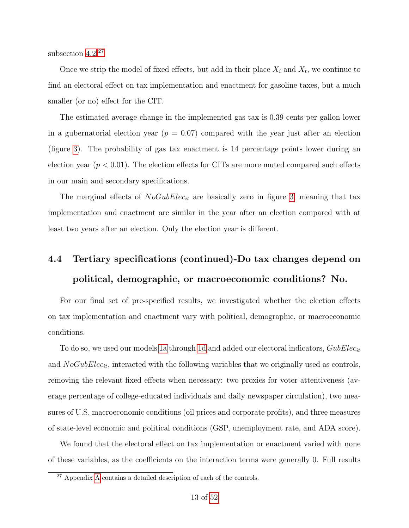subsection  $4.2^{27}$  $4.2^{27}$  $4.2^{27}$ 

Once we strip the model of fixed effects, but add in their place  $X_i$  and  $X_t$ , we continue to find an electoral effect on tax implementation and enactment for gasoline taxes, but a much smaller (or no) effect for the CIT.

The estimated average change in the implemented gas tax is 0.39 cents per gallon lower in a gubernatorial election year  $(p = 0.07)$  compared with the year just after an election (figure [3\)](#page-37-0). The probability of gas tax enactment is 14 percentage points lower during an election year  $(p < 0.01)$ . The election effects for CITs are more muted compared such effects in our main and secondary specifications.

The marginal effects of  $NoGubElec_{it}$  are basically zero in figure [3,](#page-37-0) meaning that tax implementation and enactment are similar in the year after an election compared with at least two years after an election. Only the election year is different.

# 4.4 Tertiary specifications (continued)-Do tax changes depend on political, demographic, or macroeconomic conditions? No.

For our final set of pre-specified results, we investigated whether the election effects on tax implementation and enactment vary with political, demographic, or macroeconomic conditions.

To do so, we used our models [1a](#page-9-0) through [1d](#page-9-1) and added our electoral indicators,  $GubElec_{it}$ and  $NoGubElec_{it}$ , interacted with the following variables that we originally used as controls, removing the relevant fixed effects when necessary: two proxies for voter attentiveness (average percentage of college-educated individuals and daily newspaper circulation), two measures of U.S. macroeconomic conditions (oil prices and corporate profits), and three measures of state-level economic and political conditions (GSP, unemployment rate, and ADA score).

We found that the electoral effect on tax implementation or enactment varied with none of these variables, as the coefficients on the interaction terms were generally 0. Full results

<span id="page-13-0"></span><sup>27</sup> Appendix [A](#page-23-0) contains a detailed description of each of the controls.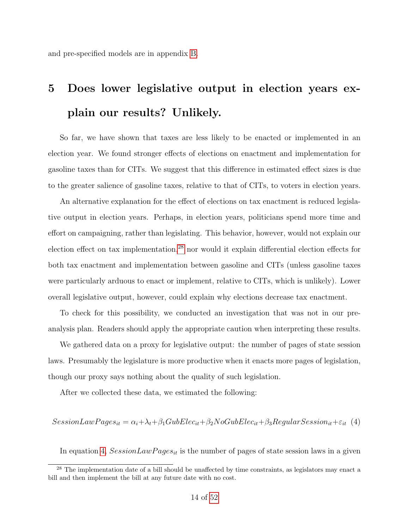and pre-specified models are in appendix [B.](#page-28-0)

# 5 Does lower legislative output in election years explain our results? Unlikely.

So far, we have shown that taxes are less likely to be enacted or implemented in an election year. We found stronger effects of elections on enactment and implementation for gasoline taxes than for CITs. We suggest that this difference in estimated effect sizes is due to the greater salience of gasoline taxes, relative to that of CITs, to voters in election years.

An alternative explanation for the effect of elections on tax enactment is reduced legislative output in election years. Perhaps, in election years, politicians spend more time and effort on campaigning, rather than legislating. This behavior, however, would not explain our election effect on tax implementation,<sup>[28](#page-14-0)</sup> nor would it explain differential election effects for both tax enactment and implementation between gasoline and CITs (unless gasoline taxes were particularly arduous to enact or implement, relative to CITs, which is unlikely). Lower overall legislative output, however, could explain why elections decrease tax enactment.

To check for this possibility, we conducted an investigation that was not in our preanalysis plan. Readers should apply the appropriate caution when interpreting these results.

We gathered data on a proxy for legislative output: the number of pages of state session laws. Presumably the legislature is more productive when it enacts more pages of legislation, though our proxy says nothing about the quality of such legislation.

After we collected these data, we estimated the following:

<span id="page-14-1"></span>
$$
SessionLaw Pages_{it} = \alpha_i + \lambda_t + \beta_1 GubElec_{it} + \beta_2 NoGubElec_{it} + \beta_3 RegularSession_{it} + \varepsilon_{it} (4)
$$

In equation [4,](#page-14-1)  $SessionLaw Pages_{it}$  is the number of pages of state session laws in a given

<span id="page-14-0"></span><sup>&</sup>lt;sup>28</sup> The implementation date of a bill should be unaffected by time constraints, as legislators may enact a bill and then implement the bill at any future date with no cost.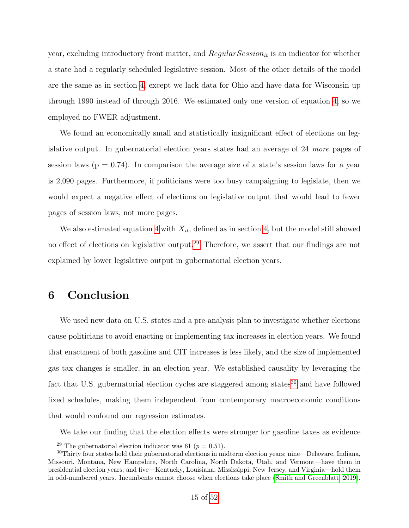year, excluding introductory front matter, and  $Regular Session_{it}$  is an indicator for whether a state had a regularly scheduled legislative session. Most of the other details of the model are the same as in section [4,](#page-9-6) except we lack data for Ohio and have data for Wisconsin up through 1990 instead of through 2016. We estimated only one version of equation [4,](#page-14-1) so we employed no FWER adjustment.

We found an economically small and statistically insignificant effect of elections on legislative output. In gubernatorial election years states had an average of 24 more pages of session laws ( $p = 0.74$ ). In comparison the average size of a state's session laws for a year is 2,090 pages. Furthermore, if politicians were too busy campaigning to legislate, then we would expect a negative effect of elections on legislative output that would lead to fewer pages of session laws, not more pages.

We also estimated equation [4](#page-14-1) with  $X_{it}$ , defined as in section [4,](#page-9-6) but the model still showed no effect of elections on legislative output.<sup>[29](#page-15-0)</sup> Therefore, we assert that our findings are not explained by lower legislative output in gubernatorial election years.

### 6 Conclusion

We used new data on U.S. states and a pre-analysis plan to investigate whether elections cause politicians to avoid enacting or implementing tax increases in election years. We found that enactment of both gasoline and CIT increases is less likely, and the size of implemented gas tax changes is smaller, in an election year. We established causality by leveraging the fact that U.S. gubernatorial election cycles are staggered among states $^{30}$  $^{30}$  $^{30}$  and have followed fixed schedules, making them independent from contemporary macroeconomic conditions that would confound our regression estimates.

We take our finding that the election effects were stronger for gasoline taxes as evidence

<span id="page-15-1"></span><span id="page-15-0"></span><sup>&</sup>lt;sup>29</sup> The gubernatorial election indicator was 61 ( $p = 0.51$ ).

<sup>30</sup>Thirty four states hold their gubernatorial elections in midterm election years; nine—Delaware, Indiana, Missouri, Montana, New Hampshire, North Carolina, North Dakota, Utah, and Vermont—have them in presidential election years; and five—Kentucky, Louisiana, Mississippi, New Jersey, and Virginia—hold them in odd-numbered years. Incumbents cannot choose when elections take place [\(Smith and Greenblatt, 2019\)](#page-21-5).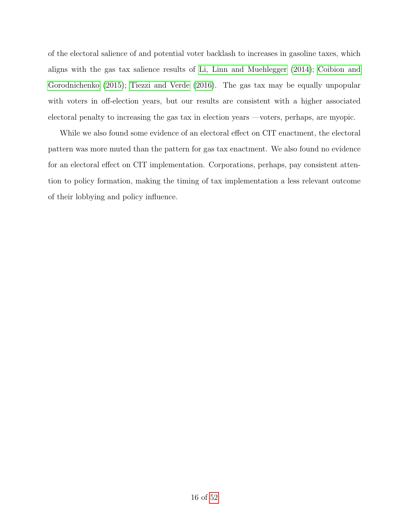of the electoral salience of and potential voter backlash to increases in gasoline taxes, which aligns with the gas tax salience results of [Li, Linn and Muehlegger](#page-21-0) [\(2014\)](#page-21-0); [Coibion and](#page-18-4) [Gorodnichenko](#page-18-4) [\(2015\)](#page-18-4); [Tiezzi and Verde](#page-21-1) [\(2016\)](#page-21-1). The gas tax may be equally unpopular with voters in off-election years, but our results are consistent with a higher associated electoral penalty to increasing the gas tax in election years —voters, perhaps, are myopic.

While we also found some evidence of an electoral effect on CIT enactment, the electoral pattern was more muted than the pattern for gas tax enactment. We also found no evidence for an electoral effect on CIT implementation. Corporations, perhaps, pay consistent attention to policy formation, making the timing of tax implementation a less relevant outcome of their lobbying and policy influence.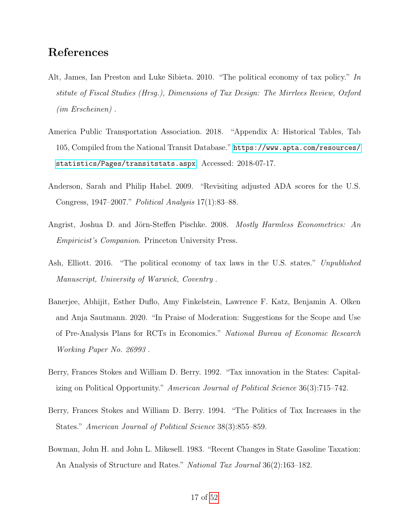### References

- <span id="page-17-5"></span>Alt, James, Ian Preston and Luke Sibieta. 2010. "The political economy of tax policy." In stitute of Fiscal Studies (Hrsg.), Dimensions of Tax Design: The Mirrlees Review, Oxford (im Erscheinen) .
- <span id="page-17-7"></span>America Public Transportation Association. 2018. "Appendix A: Historical Tables, Tab 105, Compiled from the National Transit Database." [https://www.apta.com/resources/](https://www.apta.com/resources/statistics/Pages/transitstats.aspx) [statistics/Pages/transitstats.aspx](https://www.apta.com/resources/statistics/Pages/transitstats.aspx). Accessed: 2018-07-17.
- <span id="page-17-8"></span>Anderson, Sarah and Philip Habel. 2009. "Revisiting adjusted ADA scores for the U.S. Congress, 1947–2007." Political Analysis 17(1):83–88.
- <span id="page-17-6"></span>Angrist, Joshua D. and Jörn-Steffen Pischke. 2008. Mostly Harmless Econometrics: An Empiricist's Companion. Princeton University Press.
- <span id="page-17-1"></span>Ash, Elliott. 2016. "The political economy of tax laws in the U.S. states." Unpublished Manuscript, University of Warwick, Coventry .
- <span id="page-17-4"></span>Banerjee, Abhijit, Esther Duflo, Amy Finkelstein, Lawrence F. Katz, Benjamin A. Olken and Anja Sautmann. 2020. "In Praise of Moderation: Suggestions for the Scope and Use of Pre-Analysis Plans for RCTs in Economics." National Bureau of Economic Research Working Paper No. 26993 .
- <span id="page-17-2"></span>Berry, Frances Stokes and William D. Berry. 1992. "Tax innovation in the States: Capitalizing on Political Opportunity." American Journal of Political Science 36(3):715–742.
- <span id="page-17-3"></span>Berry, Frances Stokes and William D. Berry. 1994. "The Politics of Tax Increases in the States." American Journal of Political Science 38(3):855–859.
- <span id="page-17-0"></span>Bowman, John H. and John L. Mikesell. 1983. "Recent Changes in State Gasoline Taxation: An Analysis of Structure and Rates." National Tax Journal 36(2):163–182.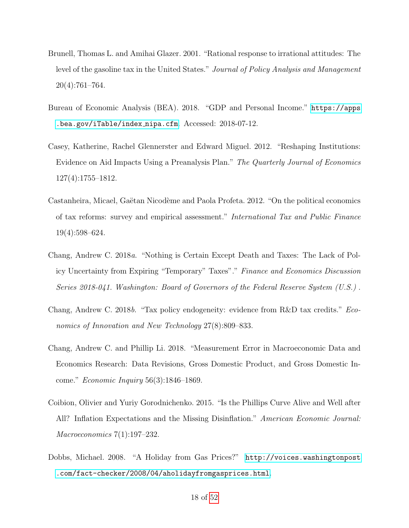- <span id="page-18-0"></span>Brunell, Thomas L. and Amihai Glazer. 2001. "Rational response to irrational attitudes: The level of the gasoline tax in the United States." Journal of Policy Analysis and Management 20(4):761–764.
- <span id="page-18-8"></span>Bureau of Economic Analysis (BEA). 2018. "GDP and Personal Income." [https://apps](https://apps.bea.gov/iTable/index_nipa.cfm) [.bea.gov/iTable/index](https://apps.bea.gov/iTable/index_nipa.cfm) nipa.cfm. Accessed: 2018-07-12.
- <span id="page-18-3"></span>Casey, Katherine, Rachel Glennerster and Edward Miguel. 2012. "Reshaping Institutions: Evidence on Aid Impacts Using a Preanalysis Plan." The Quarterly Journal of Economics 127(4):1755–1812.
- <span id="page-18-1"></span>Castanheira, Micael, Gaëtan Nicodème and Paola Profeta. 2012. "On the political economics of tax reforms: survey and empirical assessment." International Tax and Public Finance 19(4):598–624.
- <span id="page-18-6"></span>Chang, Andrew C. 2018a. "Nothing is Certain Except Death and Taxes: The Lack of Policy Uncertainty from Expiring "Temporary" Taxes"." Finance and Economics Discussion Series 2018-041. Washington: Board of Governors of the Federal Reserve System (U.S.) .
- <span id="page-18-5"></span>Chang, Andrew C. 2018b. "Tax policy endogeneity: evidence from R&D tax credits." Economics of Innovation and New Technology 27(8):809–833.
- <span id="page-18-7"></span>Chang, Andrew C. and Phillip Li. 2018. "Measurement Error in Macroeconomic Data and Economics Research: Data Revisions, Gross Domestic Product, and Gross Domestic Income." Economic Inquiry 56(3):1846–1869.
- <span id="page-18-4"></span>Coibion, Olivier and Yuriy Gorodnichenko. 2015. "Is the Phillips Curve Alive and Well after All? Inflation Expectations and the Missing Disinflation." American Economic Journal: Macroeconomics 7(1):197–232.
- <span id="page-18-2"></span>Dobbs, Michael. 2008. "A Holiday from Gas Prices?" [http://voices.washingtonpost](http://voices.washingtonpost.com/fact-checker/2008/04/aholidayfromgasprices.html) [.com/fact-checker/2008/04/aholidayfromgasprices.html](http://voices.washingtonpost.com/fact-checker/2008/04/aholidayfromgasprices.html).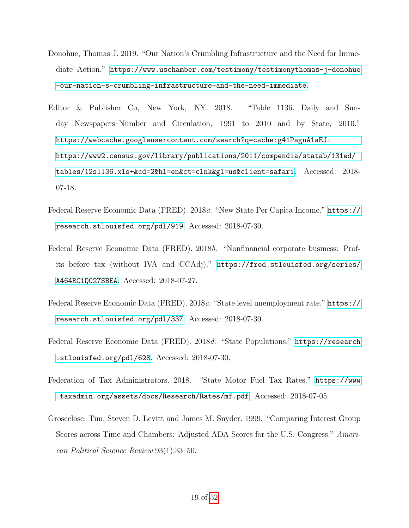- <span id="page-19-0"></span>Donohue, Thomas J. 2019. "Our Nation's Crumbling Infrastructure and the Need for Immediate Action." [https://www.uschamber.com/testimony/testimonythomas-j-donohue](https://www.uschamber.com/testimony/testimonythomas-j-donohue-our-nation-s-crumbling-infrastructure-and-the-need-immediate) [-our-nation-s-crumbling-infrastructure-and-the-need-immediate](https://www.uschamber.com/testimony/testimonythomas-j-donohue-our-nation-s-crumbling-infrastructure-and-the-need-immediate).
- <span id="page-19-3"></span>Editor & Publisher Co, New York, NY. 2018. "Table 1136. Daily and Sunday Newspapers–Number and Circulation, 1991 to 2010 and by State, 2010." [https://webcache.googleusercontent.com/search?q=cache:g41PagnA1aEJ:](https://webcache.googleusercontent.com/search?q=cache:g41PagnA1aEJ:https://www2.census.gov/library/publications/2011/compendia/statab/131ed/tables/12s1136.xls+&cd=2&hl=en&ct=clnk&gl=us&client=safari) [https://www2.census.gov/library/publications/2011/compendia/statab/131ed/](https://webcache.googleusercontent.com/search?q=cache:g41PagnA1aEJ:https://www2.census.gov/library/publications/2011/compendia/statab/131ed/tables/12s1136.xls+&cd=2&hl=en&ct=clnk&gl=us&client=safari) [tables/12s1136.xls+&cd=2&hl=en&ct=clnk&gl=us&client=safari](https://webcache.googleusercontent.com/search?q=cache:g41PagnA1aEJ:https://www2.census.gov/library/publications/2011/compendia/statab/131ed/tables/12s1136.xls+&cd=2&hl=en&ct=clnk&gl=us&client=safari). Accessed: 2018- 07-18.
- <span id="page-19-7"></span>Federal Reserve Economic Data (FRED). 2018a. "New State Per Capita Income." [https://](https://research.stlouisfed.org/pdl/919) [research.stlouisfed.org/pdl/919](https://research.stlouisfed.org/pdl/919). Accessed: 2018-07-30.
- <span id="page-19-4"></span>Federal Reserve Economic Data (FRED). 2018b. "Nonfinancial corporate business: Profits before tax (without IVA and CCAdj)." [https://fred.stlouisfed.org/series/](https://fred.stlouisfed.org/series/A464RC1Q027SBEA) [A464RC1Q027SBEA](https://fred.stlouisfed.org/series/A464RC1Q027SBEA). Accessed: 2018-07-27.
- <span id="page-19-5"></span>Federal Reserve Economic Data (FRED). 2018c. "State level unemployment rate." [https://](https://research.stlouisfed.org/pdl/337) [research.stlouisfed.org/pdl/337](https://research.stlouisfed.org/pdl/337). Accessed: 2018-07-30.
- <span id="page-19-6"></span>Federal Reserve Economic Data (FRED). 2018d. "State Populations." [https://research](https://research.stlouisfed.org/pdl/628) [.stlouisfed.org/pdl/628](https://research.stlouisfed.org/pdl/628). Accessed: 2018-07-30.
- <span id="page-19-1"></span>Federation of Tax Administrators. 2018. "State Motor Fuel Tax Rates." [https://www](https://www.taxadmin.org/assets/docs/Research/Rates/mf.pdf) [.taxadmin.org/assets/docs/Research/Rates/mf.pdf](https://www.taxadmin.org/assets/docs/Research/Rates/mf.pdf). Accessed: 2018-07-05.
- <span id="page-19-2"></span>Groseclose, Tim, Steven D. Levitt and James M. Snyder. 1999. "Comparing Interest Group Scores across Time and Chambers: Adjusted ADA Scores for the U.S. Congress." American Political Science Review 93(1):33–50.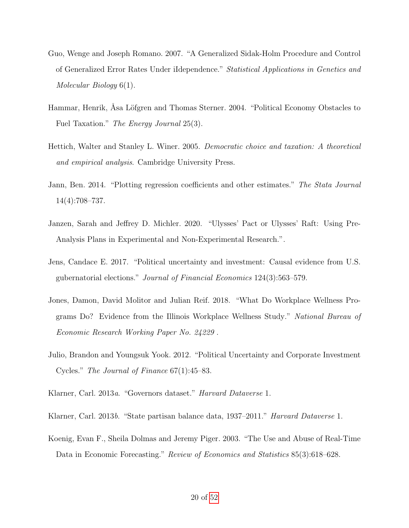- <span id="page-20-6"></span>Guo, Wenge and Joseph Romano. 2007. "A Generalized Sidak-Holm Procedure and Control of Generalized Error Rates Under iIdependence." Statistical Applications in Genetics and Molecular Biology 6(1).
- <span id="page-20-1"></span>Hammar, Henrik, Asa Löfgren and Thomas Sterner. 2004. "Political Economy Obstacles to Fuel Taxation." *The Energy Journal* 25(3).
- Hettich, Walter and Stanley L. Winer. 2005. Democratic choice and taxation: A theoretical and empirical analysis. Cambridge University Press.
- Jann, Ben. 2014. "Plotting regression coefficients and other estimates." The Stata Journal 14(4):708–737.
- <span id="page-20-0"></span>Janzen, Sarah and Jeffrey D. Michler. 2020. "Ulysses' Pact or Ulysses' Raft: Using Pre-Analysis Plans in Experimental and Non-Experimental Research.".
- <span id="page-20-4"></span>Jens, Candace E. 2017. "Political uncertainty and investment: Causal evidence from U.S. gubernatorial elections." Journal of Financial Economics 124(3):563–579.
- <span id="page-20-5"></span>Jones, Damon, David Molitor and Julian Reif. 2018. "What Do Workplace Wellness Programs Do? Evidence from the Illinois Workplace Wellness Study." National Bureau of Economic Research Working Paper No. 24229 .
- <span id="page-20-3"></span>Julio, Brandon and Youngsuk Yook. 2012. "Political Uncertainty and Corporate Investment Cycles." The Journal of Finance 67(1):45–83.
- <span id="page-20-2"></span>Klarner, Carl. 2013a. "Governors dataset." Harvard Dataverse 1.
- Klarner, Carl. 2013b. "State partisan balance data, 1937–2011." Harvard Dataverse 1.
- <span id="page-20-7"></span>Koenig, Evan F., Sheila Dolmas and Jeremy Piger. 2003. "The Use and Abuse of Real-Time Data in Economic Forecasting." Review of Economics and Statistics 85(3):618–628.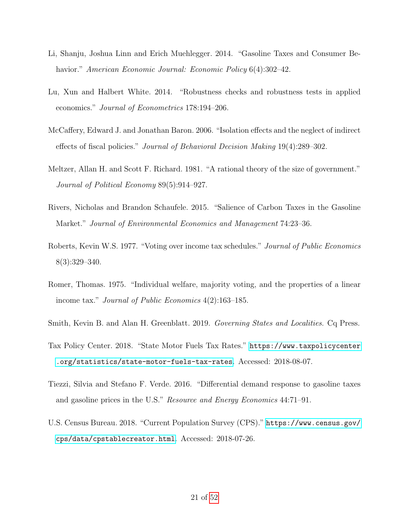- <span id="page-21-0"></span>Li, Shanju, Joshua Linn and Erich Muehlegger. 2014. "Gasoline Taxes and Consumer Behavior." American Economic Journal: Economic Policy 6(4):302–42.
- Lu, Xun and Halbert White. 2014. "Robustness checks and robustness tests in applied economics." Journal of Econometrics 178:194–206.
- <span id="page-21-2"></span>McCaffery, Edward J. and Jonathan Baron. 2006. "Isolation effects and the neglect of indirect effects of fiscal policies." Journal of Behavioral Decision Making 19(4):289–302.
- Meltzer, Allan H. and Scott F. Richard. 1981. "A rational theory of the size of government." Journal of Political Economy 89(5):914–927.
- <span id="page-21-4"></span>Rivers, Nicholas and Brandon Schaufele. 2015. "Salience of Carbon Taxes in the Gasoline Market." Journal of Environmental Economics and Management 74:23–36.
- Roberts, Kevin W.S. 1977. "Voting over income tax schedules." Journal of Public Economics 8(3):329–340.
- Romer, Thomas. 1975. "Individual welfare, majority voting, and the properties of a linear income tax." Journal of Public Economics 4(2):163–185.
- <span id="page-21-5"></span>Smith, Kevin B. and Alan H. Greenblatt. 2019. Governing States and Localities. Cq Press.
- <span id="page-21-3"></span>Tax Policy Center. 2018. "State Motor Fuels Tax Rates." [https://www.taxpolicycenter](https://www.taxpolicycenter.org/statistics/state-motor-fuels-tax-rates) [.org/statistics/state-motor-fuels-tax-rates](https://www.taxpolicycenter.org/statistics/state-motor-fuels-tax-rates). Accessed: 2018-08-07.
- <span id="page-21-1"></span>Tiezzi, Silvia and Stefano F. Verde. 2016. "Differential demand response to gasoline taxes and gasoline prices in the U.S." Resource and Energy Economics 44:71–91.
- <span id="page-21-6"></span>U.S. Census Bureau. 2018. "Current Population Survey (CPS)." [https://www.census.gov/](https://www.census.gov/cps/data/cpstablecreator.html) [cps/data/cpstablecreator.html](https://www.census.gov/cps/data/cpstablecreator.html). Accessed: 2018-07-26.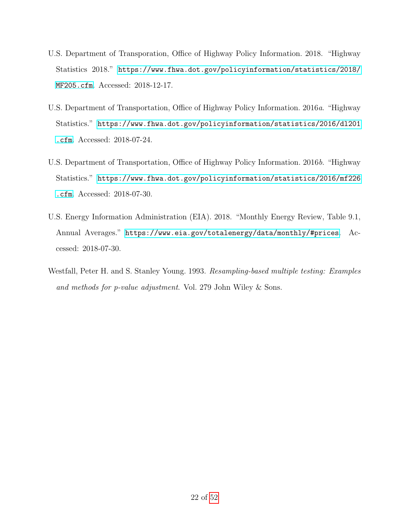- <span id="page-22-0"></span>U.S. Department of Transporation, Office of Highway Policy Information. 2018. "Highway Statistics 2018." [https://www.fhwa.dot.gov/policyinformation/statistics/2018/](https://www.fhwa.dot.gov/policyinformation/statistics/2018/MF205.cfm) [MF205.cfm](https://www.fhwa.dot.gov/policyinformation/statistics/2018/MF205.cfm). Accessed: 2018-12-17.
- <span id="page-22-3"></span>U.S. Department of Transportation, Office of Highway Policy Information. 2016a. "Highway Statistics." [https://www.fhwa.dot.gov/policyinformation/statistics/2016/dl201](https://www.fhwa.dot.gov/policyinformation/statistics/2016/dl201.cfm) [.cfm](https://www.fhwa.dot.gov/policyinformation/statistics/2016/dl201.cfm). Accessed: 2018-07-24.
- <span id="page-22-4"></span>U.S. Department of Transportation, Office of Highway Policy Information. 2016b. "Highway Statistics." [https://www.fhwa.dot.gov/policyinformation/statistics/2016/mf226](https://www.fhwa.dot.gov/policyinformation/statistics/2016/mf226.cfm) [.cfm](https://www.fhwa.dot.gov/policyinformation/statistics/2016/mf226.cfm). Accessed: 2018-07-30.
- <span id="page-22-2"></span>U.S. Energy Information Administration (EIA). 2018. "Monthly Energy Review, Table 9.1, Annual Averages." <https://www.eia.gov/totalenergy/data/monthly/#prices>. Accessed: 2018-07-30.
- <span id="page-22-1"></span>Westfall, Peter H. and S. Stanley Young. 1993. Resampling-based multiple testing: Examples and methods for p-value adjustment. Vol. 279 John Wiley & Sons.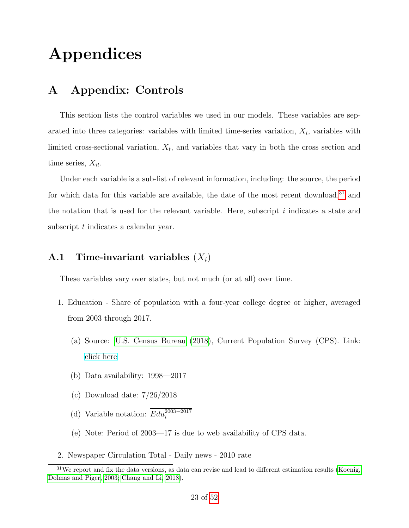# Appendices

### <span id="page-23-0"></span>A Appendix: Controls

This section lists the control variables we used in our models. These variables are separated into three categories: variables with limited time-series variation,  $X_i$ , variables with limited cross-sectional variation,  $X_t$ , and variables that vary in both the cross section and time series,  $X_{it}$ .

Under each variable is a sub-list of relevant information, including: the source, the period for which data for this variable are available, the date of the most recent download, $31$  and the notation that is used for the relevant variable. Here, subscript  $i$  indicates a state and subscript t indicates a calendar year.

#### A.1 Time-invariant variables  $(X_i)$

These variables vary over states, but not much (or at all) over time.

- 1. Education Share of population with a four-year college degree or higher, averaged from 2003 through 2017.
	- (a) Source: [U.S. Census Bureau](#page-21-6) [\(2018\)](#page-21-6), Current Population Survey (CPS). Link: [click here](https://www.census.gov/cps/data/cpstablecreator.html)
	- (b) Data availability: 1998—2017
	- (c) Download date: 7/26/2018
	- (d) Variable notation:  $E du_i^{2003-2017}$
	- (e) Note: Period of 2003—17 is due to web availability of CPS data.
- <span id="page-23-1"></span>2. Newspaper Circulation Total - Daily news - 2010 rate

 $31\text{We report and fix the data versions, as data can revise and lead to different estimation results (Koenig,$  $31\text{We report and fix the data versions, as data can revise and lead to different estimation results (Koenig,$ [Dolmas and Piger, 2003;](#page-20-7) [Chang and Li, 2018\)](#page-18-7).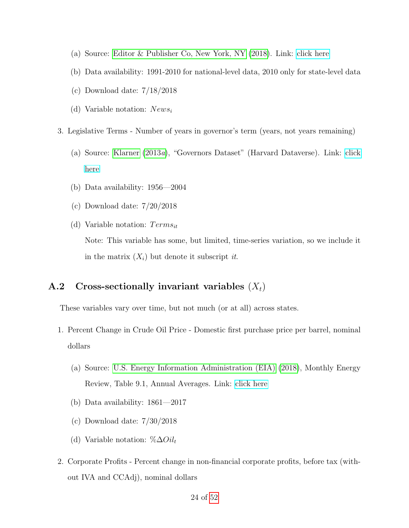- (a) Source: [Editor & Publisher Co, New York, NY](#page-19-3) [\(2018\)](#page-19-3). Link: [click here](https://webcache.googleusercontent.com/search?q=cache:g41PagnA1aEJ:https://www2.census.gov/library/publications/2011/compendia/statab/131ed/tables/12s1136.xls+&cd=2&hl=en&ct=clnk&gl=us&client=safari)
- (b) Data availability: 1991-2010 for national-level data, 2010 only for state-level data
- (c) Download date: 7/18/2018
- (d) Variable notation:  $News<sub>i</sub>$
- 3. Legislative Terms Number of years in governor's term (years, not years remaining)
	- (a) Source: [Klarner](#page-20-2) [\(2013](#page-20-2)a), "Governors Dataset" (Harvard Dataverse). Link: [click](https://hdl.handle.net/1902.1/20408) [here](https://hdl.handle.net/1902.1/20408)
	- (b) Data availability: 1956—2004
	- (c) Download date: 7/20/2018
	- (d) Variable notation:  $Terms_{it}$

Note: This variable has some, but limited, time-series variation, so we include it in the matrix  $(X_i)$  but denote it subscript it.

#### A.2 Cross-sectionally invariant variables  $(X_t)$

These variables vary over time, but not much (or at all) across states.

- 1. Percent Change in Crude Oil Price Domestic first purchase price per barrel, nominal dollars
	- (a) Source: [U.S. Energy Information Administration \(EIA\)](#page-22-2) [\(2018\)](#page-22-2), Monthly Energy Review, Table 9.1, Annual Averages. Link: [click here](https://www.eia.gov/totalenergy/data/monthly/#prices)
	- (b) Data availability: 1861—2017
	- (c) Download date: 7/30/2018
	- (d) Variable notation: % $\Delta Oil_t$
- 2. Corporate Profits Percent change in non-financial corporate profits, before tax (without IVA and CCAdj), nominal dollars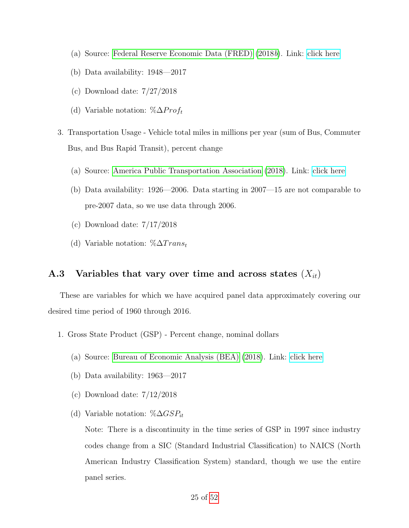- (a) Source: [Federal Reserve Economic Data \(FRED\)](#page-19-4) [\(2018](#page-19-4)b). Link: [click here](https://fred.stlouisfed.org/series/A464RC1Q027SBEA)
- (b) Data availability: 1948—2017
- (c) Download date: 7/27/2018
- (d) Variable notation:  $\%\Delta Prof_t$
- 3. Transportation Usage Vehicle total miles in millions per year (sum of Bus, Commuter Bus, and Bus Rapid Transit), percent change
	- (a) Source: [America Public Transportation Association](#page-17-7) [\(2018\)](#page-17-7). Link: [click here](http://www.apta.com/resources/statistics/Pages/transitstats.aspx)
	- (b) Data availability: 1926—2006. Data starting in 2007—15 are not comparable to pre-2007 data, so we use data through 2006.
	- (c) Download date: 7/17/2018
	- (d) Variable notation:  $\%\Delta Trans_t$

#### <span id="page-25-0"></span>A.3 Variables that vary over time and across states  $(X_{it})$

These are variables for which we have acquired panel data approximately covering our desired time period of 1960 through 2016.

- 1. Gross State Product (GSP) Percent change, nominal dollars
	- (a) Source: [Bureau of Economic Analysis \(BEA\)](#page-18-8) [\(2018\)](#page-18-8). Link: [click here](https://www.bea.gov/iTable/iTable.cfm?reqid=70&step=1&isuri=1&acrdn=2#reqid=70&step=1&isuri=1&7003=200&7004=naics&7035=-1&7005=1&7006=00000,01000,02000,04000,05000,06000,08000,09000,10000,11000,12000,13000,15000,16000,17000,18000,19000,20000,21000,22000,23000,24000,25000,26000,27000,28000,29000,30000,31000,32000,33000,34000,35000,36000,37000,38000,39000,40000,41000,42000,44000,45000,46000,47000,48000,49000,50000,51000,53000,54000,55000,56000&7001=1200&7036=-1&7002=1&7090=70&7007=-1&7093=levels)
	- (b) Data availability: 1963—2017
	- (c) Download date: 7/12/2018
	- (d) Variable notation:  $\%\Delta GSP_{it}$

Note: There is a discontinuity in the time series of GSP in 1997 since industry codes change from a SIC (Standard Industrial Classification) to NAICS (North American Industry Classification System) standard, though we use the entire panel series.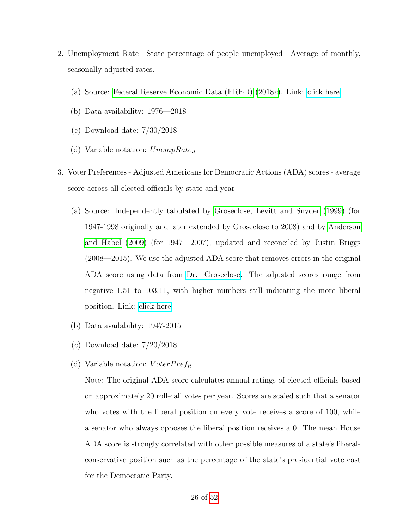- 2. Unemployment Rate—State percentage of people unemployed—Average of monthly, seasonally adjusted rates.
	- (a) Source: [Federal Reserve Economic Data \(FRED\)](#page-19-5) [\(2018](#page-19-5)c). Link: [click here](https://research.stlouisfed.org/pdl/337)
	- (b) Data availability: 1976—2018
	- (c) Download date: 7/30/2018
	- (d) Variable notation:  $UnempRate_{it}$
- 3. Voter Preferences Adjusted Americans for Democratic Actions (ADA) scores average score across all elected officials by state and year
	- (a) Source: Independently tabulated by [Groseclose, Levitt and Snyder](#page-19-2) [\(1999\)](#page-19-2) (for 1947-1998 originally and later extended by Groseclose to 2008) and by [Anderson](#page-17-8) [and Habel](#page-17-8) [\(2009\)](#page-17-8) (for 1947—2007); updated and reconciled by Justin Briggs (2008—2015). We use the adjusted ADA score that removes errors in the original ADA score using data from [Dr. Groseclose.](http://timgroseclose.com/adjusted-interest-group-scores/) The adjusted scores range from negative 1.51 to 103.11, with higher numbers still indicating the more liberal position. Link: [click here](http://trialstravails.blogspot.com/2017/01/adjusted-ada-scores-from-1947-2015.html)
	- (b) Data availability: 1947-2015
	- (c) Download date: 7/20/2018
	- (d) Variable notation:  $VoterPref_{it}$

Note: The original ADA score calculates annual ratings of elected officials based on approximately 20 roll-call votes per year. Scores are scaled such that a senator who votes with the liberal position on every vote receives a score of 100, while a senator who always opposes the liberal position receives a 0. The mean House ADA score is strongly correlated with other possible measures of a state's liberalconservative position such as the percentage of the state's presidential vote cast for the Democratic Party.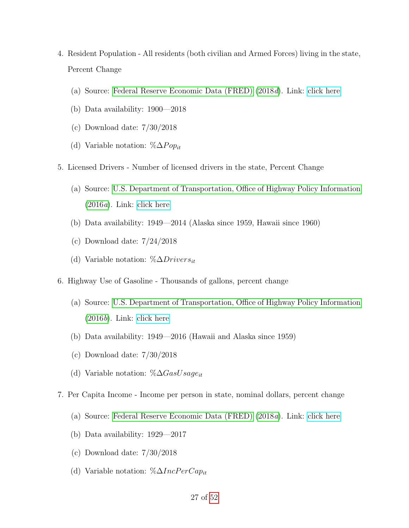- 4. Resident Population All residents (both civilian and Armed Forces) living in the state, Percent Change
	- (a) Source: [Federal Reserve Economic Data \(FRED\)](#page-19-6) [\(2018](#page-19-6)d). Link: [click here](https://research.stlouisfed.org/pdl/628)
	- (b) Data availability: 1900—2018
	- (c) Download date: 7/30/2018
	- (d) Variable notation:  $\%\Delta Pop_{it}$
- 5. Licensed Drivers Number of licensed drivers in the state, Percent Change
	- (a) Source: [U.S. Department of Transportation, Office of Highway Policy Information](#page-22-3) [\(2016](#page-22-3)a). Link: [click here](https://www.fhwa.dot.gov/policyinformation/statistics/2016/dl201.cfm)
	- (b) Data availability: 1949—2014 (Alaska since 1959, Hawaii since 1960)
	- (c) Download date: 7/24/2018
	- (d) Variable notation:  $\%\Delta D \textit{rivers}_{it}$
- 6. Highway Use of Gasoline Thousands of gallons, percent change
	- (a) Source: [U.S. Department of Transportation, Office of Highway Policy Information](#page-22-4)  $(2016b)$  $(2016b)$ . Link: [click here](https://www.fhwa.dot.gov/policyinformation/statistics/2016/mf226.cfm)
	- (b) Data availability: 1949—2016 (Hawaii and Alaska since 1959)
	- (c) Download date: 7/30/2018
	- (d) Variable notation: %∆ $GasUsage_{it}$
- 7. Per Capita Income Income per person in state, nominal dollars, percent change
	- (a) Source: [Federal Reserve Economic Data \(FRED\)](#page-19-7) [\(2018](#page-19-7)a). Link: [click here](https://research.stlouisfed.org/pdl/919)
	- (b) Data availability: 1929—2017
	- (c) Download date: 7/30/2018
	- (d) Variable notation:  $\% \Delta IncPerCap_{it}$

#### 27 of [52](#page-52-0)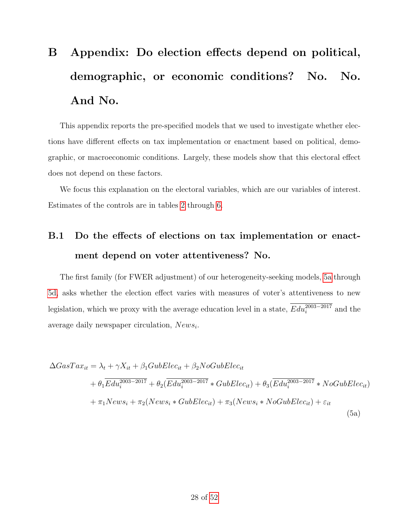# <span id="page-28-0"></span>B Appendix: Do election effects depend on political, demographic, or economic conditions? No. No. And No.

This appendix reports the pre-specified models that we used to investigate whether elections have different effects on tax implementation or enactment based on political, demographic, or macroeconomic conditions. Largely, these models show that this electoral effect does not depend on these factors.

We focus this explanation on the electoral variables, which are our variables of interest. Estimates of the controls are in tables [2](#page-48-0) through [6.](#page-52-1)

## B.1 Do the effects of elections on tax implementation or enactment depend on voter attentiveness? No.

The first family (for FWER adjustment) of our heterogeneity-seeking models, [5a](#page-28-1) through [5d,](#page-29-0) asks whether the election effect varies with measures of voter's attentiveness to new legislation, which we proxy with the average education level in a state,  $E du_i^{2003-2017}$  and the average daily newspaper circulation,  $News<sub>i</sub>$ .

<span id="page-28-1"></span>
$$
\Delta Gas Tax_{it} = \lambda_t + \gamma X_{it} + \beta_1 GubElec_{it} + \beta_2 NoGubElec_{it}
$$
  
+  $\theta_1 \overline{Edu_i^{2003-2017}} + \theta_2 (\overline{Edu_i^{2003-2017}} * GubElec_{it}) + \theta_3 (\overline{Edu_i^{2003-2017}} * NoGubElec_{it})$   
+  $\pi_1 News_i + \pi_2 (News_i * GubElec_{it}) + \pi_3 (News_i * NoGubElec_{it}) + \varepsilon_{it}$  (5a)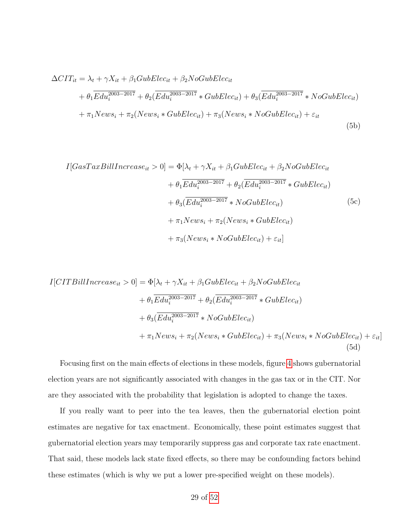$$
\Delta CIT_{it} = \lambda_t + \gamma X_{it} + \beta_1 GubElec_{it} + \beta_2 NoGubElec_{it}
$$
  
+  $\theta_1 \overline{Edu_i^{2003-2017}} + \theta_2 (\overline{Edu_i^{2003-2017}} * GubElec_{it}) + \theta_3 (\overline{Edu_i^{2003-2017}} * NoGubElec_{it})$   
+  $\pi_1 News_i + \pi_2 (News_i * GubElec_{it}) + \pi_3 (News_i * NoGubElec_{it}) + \varepsilon_{it}$  (5b)

$$
I[GasTaxBillIncrease_{it} > 0] = \Phi[\lambda_t + \gamma X_{it} + \beta_1 GubElec_{it} + \beta_2 NoGubElec_{it}
$$

$$
+ \theta_1 \overline{Edu_i^{2003-2017}} + \theta_2 (\overline{Edu_i^{2003-2017}} * GubElec_{it})
$$

$$
+ \theta_3 (\overline{Edu_i^{2003-2017}} * NoGubElec_{it})
$$

$$
+ \pi_1 News_i + \pi_2 (News_i * GubElec_{it})
$$

$$
+ \pi_3 (News_i * NoGubElec_{it}) + \varepsilon_{it}]
$$

<span id="page-29-0"></span>
$$
I[CTBillIncrease_{it} > 0] = \Phi[\lambda_t + \gamma X_{it} + \beta_1 GubElec_{it} + \beta_2 NoGubElec_{it}
$$
  
+  $\theta_1 \overline{Edu_i^{2003-2017}} + \theta_2 (\overline{Edu_i^{2003-2017}} * GubElec_{it})$   
+  $\theta_3 (\overline{Edu_i^{2003-2017}} * NoGubElec_{it})$   
+  $\pi_1 News_i + \pi_2 (News_i * GubElec_{it}) + \pi_3 (News_i * NoGubElec_{it}) + \varepsilon_{it}]$   
(5d)

Focusing first on the main effects of elections in these models, figure [4](#page-38-0) shows gubernatorial election years are not significantly associated with changes in the gas tax or in the CIT. Nor are they associated with the probability that legislation is adopted to change the taxes.

If you really want to peer into the tea leaves, then the gubernatorial election point estimates are negative for tax enactment. Economically, these point estimates suggest that gubernatorial election years may temporarily suppress gas and corporate tax rate enactment. That said, these models lack state fixed effects, so there may be confounding factors behind these estimates (which is why we put a lower pre-specified weight on these models).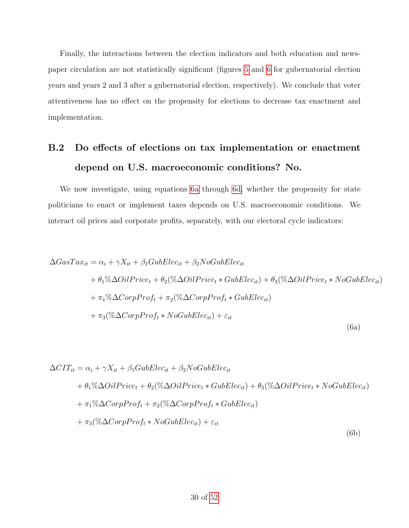Finally, the interactions between the election indicators and both education and newspaper circulation are not statistically significant (figures [5](#page-39-0) and [6](#page-40-0) for gubernatorial election years and years 2 and 3 after a gubernatorial election, respectively). We conclude that voter attentiveness has no effect on the propensity for elections to decrease tax enactment and implementation.

# B.2 Do effects of elections on tax implementation or enactment depend on U.S. macroeconomic conditions? No.

We now investigate, using equations [6a](#page-30-0) through [6d,](#page-31-0) whether the propensity for state politicians to enact or implement taxes depends on U.S. macroeconomic conditions. We interact oil prices and corporate profits, separately, with our electoral cycle indicators:

<span id="page-30-0"></span>
$$
\Delta Gas Tax_{it} = \alpha_i + \gamma X_{it} + \beta_1 GubElec_{it} + \beta_2 NoGubElec_{it}
$$
  
+  $\theta_1\% \Delta OilPrice_t + \theta_2(\% \Delta OilPrice_t * GubElec_{it}) + \theta_3(\% \Delta OilPrice_t * NoGubElec_{it})$   
+  $\pi_1\% \Delta CorpProf_t + \pi_2(\% \Delta CorpProf_t * GubElec_{it})$   
+  $\pi_3(\% \Delta CorpProf_t * NoGubElec_{it}) + \varepsilon_{it}$  (6a)

$$
\Delta CIT_{it} = \alpha_i + \gamma X_{it} + \beta_1 GubElec_{it} + \beta_2 NoGubElec_{it}
$$
  
+  $\theta_1 \%\Delta OilPrice_t + \theta_2 (\%\Delta OilPrice_t * GubElec_{it}) + \theta_3 (\%\Delta OilPrice_t * NoGubElec_{it})$   
+  $\pi_1 \%\Delta CorpProf_t + \pi_2 (\%\Delta CorpProf_t * GubElec_{it})$   
+  $\pi_3 (\%\Delta CorpProf_t * NoGubElec_{it}) + \varepsilon_{it}$  (6b)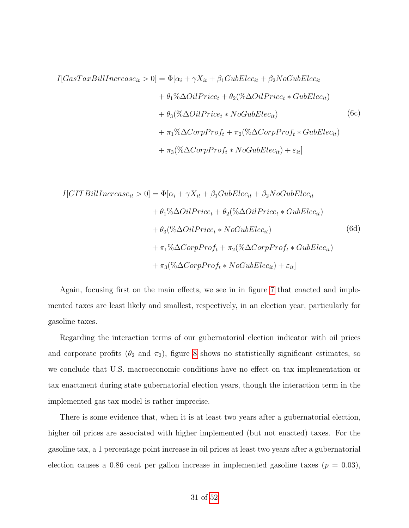$$
I[GasTaxBill Increase_{it} > 0] = \Phi[\alpha_i + \gamma X_{it} + \beta_1 GubElec_{it} + \beta_2 NoGubElec_{it}
$$

$$
+ \theta_1 \% \Delta OilPrice_t + \theta_2 (\% \Delta OilPrice_t * GubElec_{it})
$$

$$
+ \theta_3 (\% \Delta OilPrice_t * NoGubElec_{it})
$$
(6c)
$$
+ \pi_1 \% \Delta CorpProf_t + \pi_2 (\% \Delta CorpProf_t * GubElec_{it})
$$

$$
+ \pi_3 (\% \Delta CorpProf_t * NoGubElec_{it}) + \varepsilon_{it}]
$$

<span id="page-31-0"></span>
$$
I[CTBillIncrease_{it} > 0] = \Phi[\alpha_i + \gamma X_{it} + \beta_1 GubElec_{it} + \beta_2 NoGubElec_{it}
$$
  
+  $\theta_1 \%\Delta OilPrice_t + \theta_2 (\%\Delta OilPrice_t * GubElec_{it})$   
+  $\theta_3 (\%\Delta OilPrice_t * NoGubElec_{it})$  (6d)  
+  $\pi_1 \%\Delta CorpProf_t + \pi_2 (\%\Delta CorpProf_t * GubElec_{it})$   
+  $\pi_3 (\%\Delta CorpProf_t * NoGubElec_{it}) + \varepsilon_{it}$ ]

Again, focusing first on the main effects, we see in in figure [7](#page-41-0) that enacted and implemented taxes are least likely and smallest, respectively, in an election year, particularly for gasoline taxes.

Regarding the interaction terms of our gubernatorial election indicator with oil prices and corporate profits ( $\theta_2$  and  $\pi_2$ ), figure [8](#page-42-0) shows no statistically significant estimates, so we conclude that U.S. macroeconomic conditions have no effect on tax implementation or tax enactment during state gubernatorial election years, though the interaction term in the implemented gas tax model is rather imprecise.

There is some evidence that, when it is at least two years after a gubernatorial election, higher oil prices are associated with higher implemented (but not enacted) taxes. For the gasoline tax, a 1 percentage point increase in oil prices at least two years after a gubernatorial election causes a 0.86 cent per gallon increase in implemented gasoline taxes ( $p = 0.03$ ),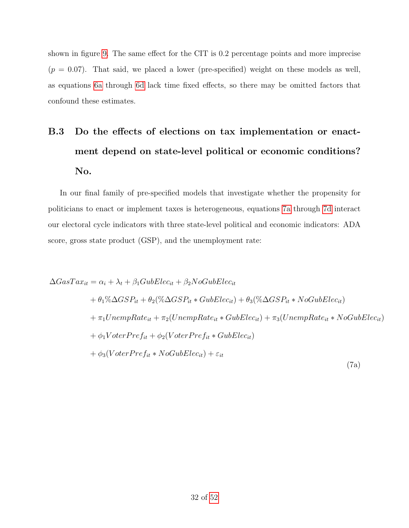shown in figure [9.](#page-43-0) The same effect for the CIT is 0.2 percentage points and more imprecise  $(p = 0.07)$ . That said, we placed a lower (pre-specified) weight on these models as well, as equations [6a](#page-30-0) through [6d](#page-31-0) lack time fixed effects, so there may be omitted factors that confound these estimates.

# B.3 Do the effects of elections on tax implementation or enactment depend on state-level political or economic conditions? No.

In our final family of pre-specified models that investigate whether the propensity for politicians to enact or implement taxes is heterogeneous, equations [7a](#page-32-0) through [7d](#page-33-0) interact our electoral cycle indicators with three state-level political and economic indicators: ADA score, gross state product (GSP), and the unemployment rate:

<span id="page-32-0"></span>
$$
\Delta Gas Tax_{it} = \alpha_i + \lambda_t + \beta_1 GubElec_{it} + \beta_2 NoGubElec_{it}
$$
  
+  $\theta_1 \% \Delta GSP_{it} + \theta_2 (\% \Delta GSP_{it} * GubElec_{it}) + \theta_3 (\% \Delta GSP_{it} * NoGubElec_{it})$   
+  $\pi_1 UnempRate_{it} + \pi_2 (UnempRate_{it} * GubElec_{it}) + \pi_3 (UnempRate_{it} * NoGubElec_{it})$   
+  $\phi_1 VoterPref_{it} + \phi_2 (VoterPref_{it} * GubElec_{it})$   
+  $\phi_3 (VoterPref_{it} * NoGubElec_{it}) + \varepsilon_{it}$  (7a)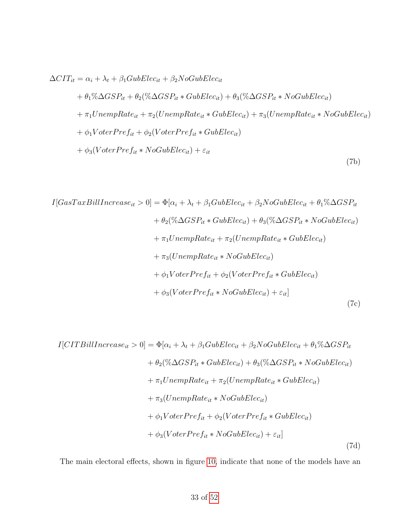$$
\Delta CIT_{it} = \alpha_i + \lambda_t + \beta_1 GubElec_{it} + \beta_2 NoGubElec_{it}
$$

+ 
$$
\theta_1\% \Delta GSP_{it} + \theta_2(\% \Delta GSP_{it} * GubElec_{it}) + \theta_3(\% \Delta GSP_{it} * NoGubElec_{it})
$$
  
+  $\pi_1 UnempRate_{it} + \pi_2(UnempRate_{it} * GubElec_{it}) + \pi_3(UnempRate_{it} * NoGubElec_{it})$   
+  $\phi_1 VoterPref_{it} + \phi_2(VoterPref_{it} * GubElec_{it})$   
+  $\phi_3(VoterPref_{it} * NoGubElec_{it}) + \varepsilon_{it}$  (7b)

$$
I[GasTaxBillIncrease_{it} > 0] = \Phi[\alpha_i + \lambda_t + \beta_1 GubElec_{it} + \beta_2 NoGubElec_{it} + \theta_1 \% \Delta GSP_{it}
$$
  
+  $\theta_2 (\% \Delta GSP_{it} * GubElec_{it}) + \theta_3 (\% \Delta GSP_{it} * NoGubElec_{it})$   
+  $\pi_1 UnempRate_{it} + \pi_2 (UnempRate_{it} * GubElec_{it})$   
+  $\pi_3 (UnempRate_{it} * NoGubElec_{it})$   
+  $\phi_1 VoterPref_{it} + \phi_2 (VoterPref_{it} * GubElec_{it})$   
+  $\phi_3 (VoterPref_{it} * NoGubElec_{it}) + \varepsilon_{it}$  (7c)

<span id="page-33-0"></span>
$$
I[CTBillIncrease_{it} > 0] = \Phi[\alpha_i + \lambda_t + \beta_1 GubElec_{it} + \beta_2 NoGubElec_{it} + \theta_1 \% \Delta GSP_{it}
$$
  
+  $\theta_2 (\% \Delta GSP_{it} * GubElec_{it}) + \theta_3 (\% \Delta GSP_{it} * NoGubElec_{it})$   
+  $\pi_1 UnempRate_{it} + \pi_2 (UnempRate_{it} * GubElec_{it})$   
+  $\pi_3 (UnempRate_{it} * NoGubElec_{it})$   
+  $\phi_1 VoterPref_{it} + \phi_2 (VoterPref_{it} * GubElec_{it})$   
+  $\phi_3 (VoterPref_{it} * NoGubElec_{it}) + \varepsilon_{it}$  (7d)

The main electoral effects, shown in figure [10,](#page-44-0) indicate that none of the models have an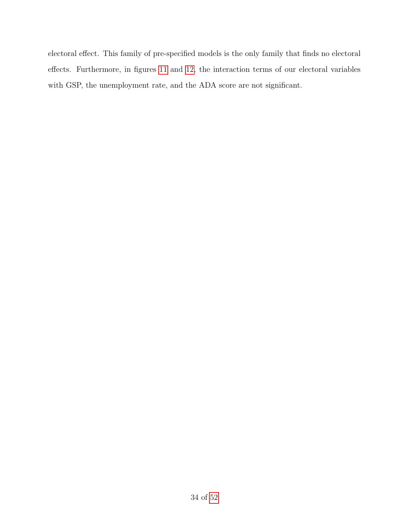electoral effect. This family of pre-specified models is the only family that finds no electoral effects. Furthermore, in figures [11](#page-45-0) and [12,](#page-46-0) the interaction terms of our electoral variables with GSP, the unemployment rate, and the ADA score are not significant.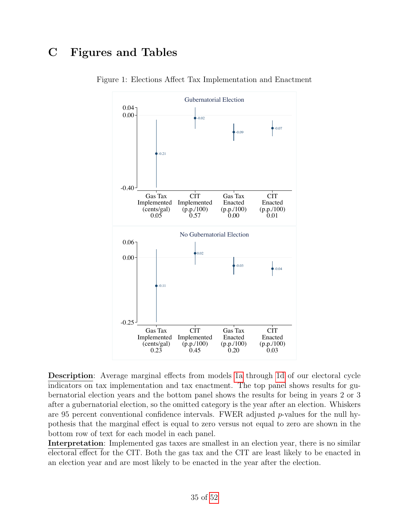## <span id="page-35-0"></span>C Figures and Tables



Figure 1: Elections Affect Tax Implementation and Enactment

Description: Average marginal effects from models [1a](#page-9-0) through [1d](#page-9-1) of our electoral cycle indicators on tax implementation and tax enactment. The top panel shows results for gubernatorial election years and the bottom panel shows the results for being in years 2 or 3 after a gubernatorial election, so the omitted category is the year after an election. Whiskers are 95 percent conventional confidence intervals. FWER adjusted p-values for the null hypothesis that the marginal effect is equal to zero versus not equal to zero are shown in the bottom row of text for each model in each panel.

Interpretation: Implemented gas taxes are smallest in an election year, there is no similar electoral effect for the CIT. Both the gas tax and the CIT are least likely to be enacted in an election year and are most likely to be enacted in the year after the election.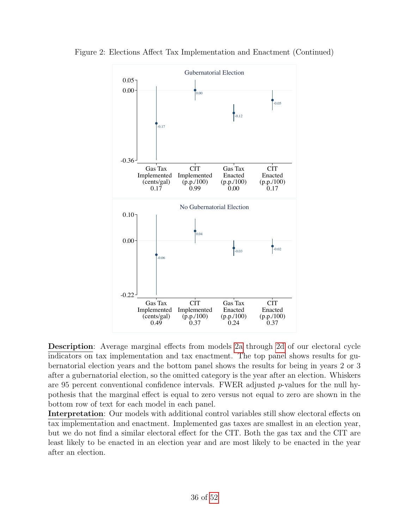

<span id="page-36-0"></span>Figure 2: Elections Affect Tax Implementation and Enactment (Continued)

Description: Average marginal effects from models [2a](#page-11-1) through [2d](#page-11-2) of our electoral cycle indicators on tax implementation and tax enactment. The top panel shows results for gubernatorial election years and the bottom panel shows the results for being in years 2 or 3 after a gubernatorial election, so the omitted category is the year after an election. Whiskers are 95 percent conventional confidence intervals. FWER adjusted p-values for the null hypothesis that the marginal effect is equal to zero versus not equal to zero are shown in the bottom row of text for each model in each panel.

Interpretation: Our models with additional control variables still show electoral effects on tax implementation and enactment. Implemented gas taxes are smallest in an election year, but we do not find a similar electoral effect for the CIT. Both the gas tax and the CIT are least likely to be enacted in an election year and are most likely to be enacted in the year after an election.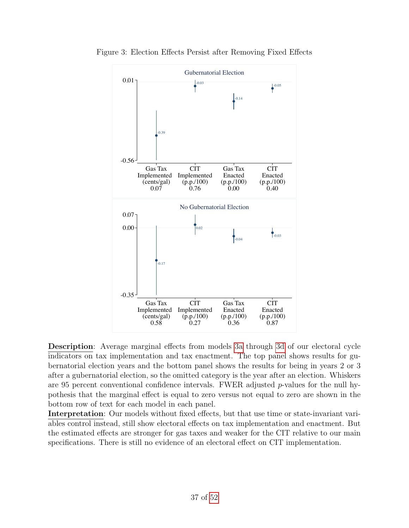

<span id="page-37-0"></span>Figure 3: Election Effects Persist after Removing Fixed Effects

Description: Average marginal effects from models [3a](#page-12-0) through [3d](#page-12-1) of our electoral cycle indicators on tax implementation and tax enactment. The top panel shows results for gubernatorial election years and the bottom panel shows the results for being in years 2 or 3 after a gubernatorial election, so the omitted category is the year after an election. Whiskers are 95 percent conventional confidence intervals. FWER adjusted p-values for the null hypothesis that the marginal effect is equal to zero versus not equal to zero are shown in the bottom row of text for each model in each panel.

Interpretation: Our models without fixed effects, but that use time or state-invariant variables control instead, still show electoral effects on tax implementation and enactment. But the estimated effects are stronger for gas taxes and weaker for the CIT relative to our main specifications. There is still no evidence of an electoral effect on CIT implementation.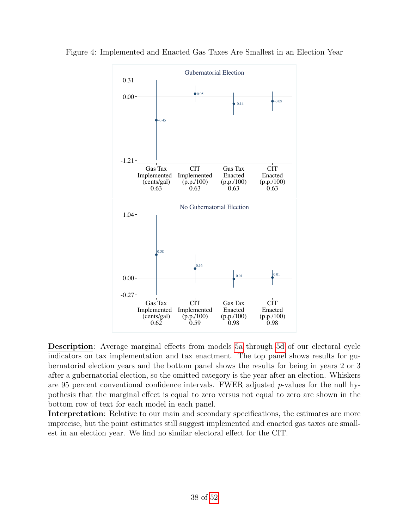

<span id="page-38-0"></span>Figure 4: Implemented and Enacted Gas Taxes Are Smallest in an Election Year

Description: Average marginal effects from models [5a](#page-28-1) through [5d](#page-29-0) of our electoral cycle indicators on tax implementation and tax enactment. The top panel shows results for gubernatorial election years and the bottom panel shows the results for being in years 2 or 3 after a gubernatorial election, so the omitted category is the year after an election. Whiskers are 95 percent conventional confidence intervals. FWER adjusted p-values for the null hypothesis that the marginal effect is equal to zero versus not equal to zero are shown in the bottom row of text for each model in each panel.

Interpretation: Relative to our main and secondary specifications, the estimates are more imprecise, but the point estimates still suggest implemented and enacted gas taxes are smallest in an election year. We find no similar electoral effect for the CIT.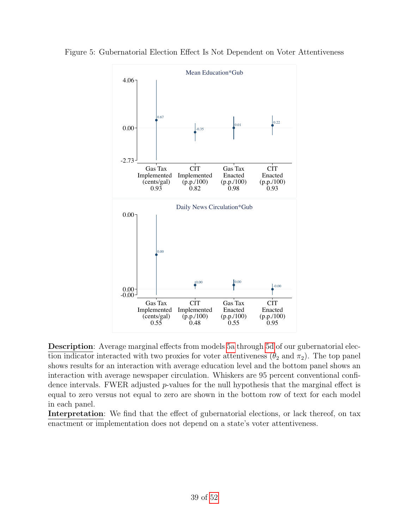

<span id="page-39-0"></span>Figure 5: Gubernatorial Election Effect Is Not Dependent on Voter Attentiveness

**Description**: Average marginal effects from models [5a](#page-28-1) through [5d](#page-29-0) of our gubernatorial election indicator interacted with two proxies for voter attentiveness ( $\theta_2$  and  $\pi_2$ ). The top panel shows results for an interaction with average education level and the bottom panel shows an interaction with average newspaper circulation. Whiskers are 95 percent conventional confidence intervals. FWER adjusted *p*-values for the null hypothesis that the marginal effect is equal to zero versus not equal to zero are shown in the bottom row of text for each model in each panel.

Interpretation: We find that the effect of gubernatorial elections, or lack thereof, on tax enactment or implementation does not depend on a state's voter attentiveness.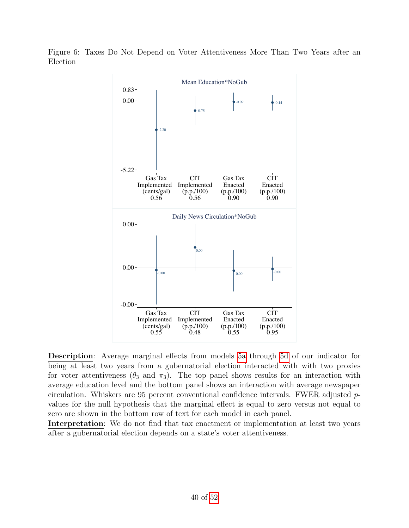<span id="page-40-0"></span>Figure 6: Taxes Do Not Depend on Voter Attentiveness More Than Two Years after an Election



Description: Average marginal effects from models [5a](#page-28-1) through [5d](#page-29-0) of our indicator for being at least two years from a gubernatorial election interacted with with two proxies for voter attentiveness  $(\theta_3 \text{ and } \pi_3)$ . The top panel shows results for an interaction with average education level and the bottom panel shows an interaction with average newspaper circulation. Whiskers are 95 percent conventional confidence intervals. FWER adjusted pvalues for the null hypothesis that the marginal effect is equal to zero versus not equal to zero are shown in the bottom row of text for each model in each panel.

Interpretation: We do not find that tax enactment or implementation at least two years after a gubernatorial election depends on a state's voter attentiveness.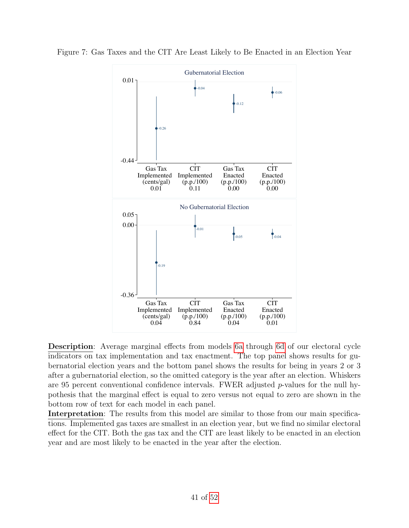

<span id="page-41-0"></span>Figure 7: Gas Taxes and the CIT Are Least Likely to Be Enacted in an Election Year

Description: Average marginal effects from models [6a](#page-30-0) through [6d](#page-31-0) of our electoral cycle indicators on tax implementation and tax enactment. The top panel shows results for gubernatorial election years and the bottom panel shows the results for being in years 2 or 3 after a gubernatorial election, so the omitted category is the year after an election. Whiskers are 95 percent conventional confidence intervals. FWER adjusted p-values for the null hypothesis that the marginal effect is equal to zero versus not equal to zero are shown in the bottom row of text for each model in each panel.

Interpretation: The results from this model are similar to those from our main specifications. Implemented gas taxes are smallest in an election year, but we find no similar electoral effect for the CIT. Both the gas tax and the CIT are least likely to be enacted in an election year and are most likely to be enacted in the year after the election.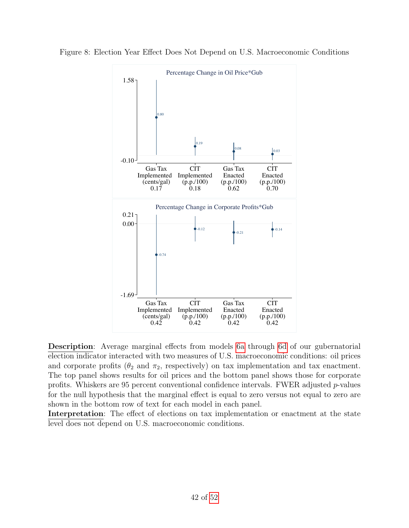

<span id="page-42-0"></span>Figure 8: Election Year Effect Does Not Depend on U.S. Macroeconomic Conditions

Description: Average marginal effects from models [6a](#page-30-0) through [6d](#page-31-0) of our gubernatorial election indicator interacted with two measures of U.S. macroeconomic conditions: oil prices and corporate profits ( $\theta_2$  and  $\pi_2$ , respectively) on tax implementation and tax enactment. The top panel shows results for oil prices and the bottom panel shows those for corporate profits. Whiskers are 95 percent conventional confidence intervals. FWER adjusted  $p$ -values for the null hypothesis that the marginal effect is equal to zero versus not equal to zero are shown in the bottom row of text for each model in each panel.

Interpretation: The effect of elections on tax implementation or enactment at the state level does not depend on U.S. macroeconomic conditions.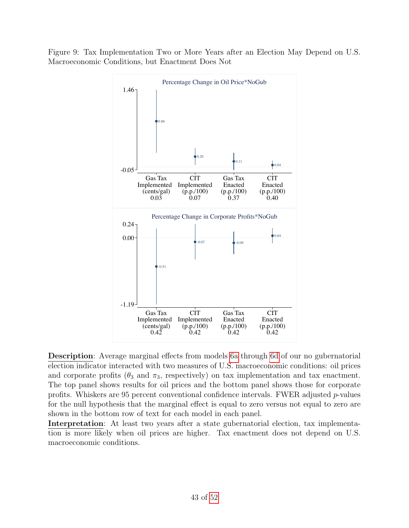<span id="page-43-0"></span>Figure 9: Tax Implementation Two or More Years after an Election May Depend on U.S. Macroeconomic Conditions, but Enactment Does Not



Description: Average marginal effects from models [6a](#page-30-0) through [6d](#page-31-0) of our no gubernatorial election indicator interacted with two measures of U.S. macroeconomic conditions: oil prices and corporate profits ( $\theta_3$  and  $\pi_3$ , respectively) on tax implementation and tax enactment. The top panel shows results for oil prices and the bottom panel shows those for corporate profits. Whiskers are 95 percent conventional confidence intervals. FWER adjusted  $p$ -values for the null hypothesis that the marginal effect is equal to zero versus not equal to zero are shown in the bottom row of text for each model in each panel.

Interpretation: At least two years after a state gubernatorial election, tax implementation is more likely when oil prices are higher. Tax enactment does not depend on U.S. macroeconomic conditions.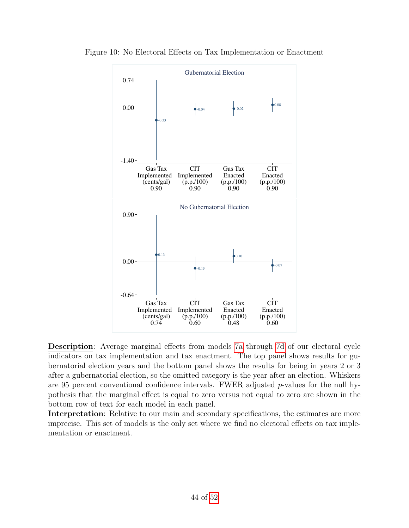

<span id="page-44-0"></span>Figure 10: No Electoral Effects on Tax Implementation or Enactment

Description: Average marginal effects from models [7a](#page-32-0) through [7d](#page-33-0) of our electoral cycle indicators on tax implementation and tax enactment. The top panel shows results for gubernatorial election years and the bottom panel shows the results for being in years 2 or 3 after a gubernatorial election, so the omitted category is the year after an election. Whiskers are 95 percent conventional confidence intervals. FWER adjusted  $p$ -values for the null hypothesis that the marginal effect is equal to zero versus not equal to zero are shown in the bottom row of text for each model in each panel.

Interpretation: Relative to our main and secondary specifications, the estimates are more imprecise. This set of models is the only set where we find no electoral effects on tax implementation or enactment.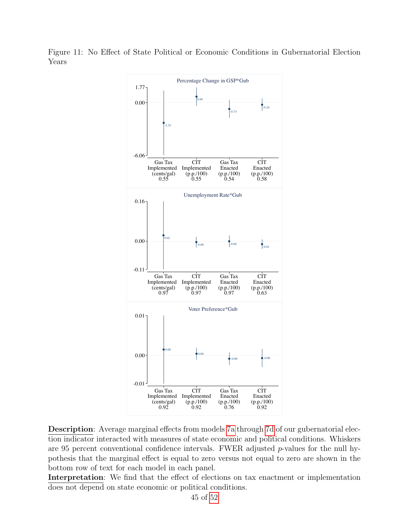

<span id="page-45-0"></span>Figure 11: No Effect of State Political or Economic Conditions in Gubernatorial Election Years

Description: Average marginal effects from models [7a](#page-32-0) through [7d](#page-33-0) of our gubernatorial election indicator interacted with measures of state economic and political conditions. Whiskers are 95 percent conventional confidence intervals. FWER adjusted  $p$ -values for the null hypothesis that the marginal effect is equal to zero versus not equal to zero are shown in the bottom row of text for each model in each panel.

Interpretation: We find that the effect of elections on tax enactment or implementation does not depend on state economic or political conditions.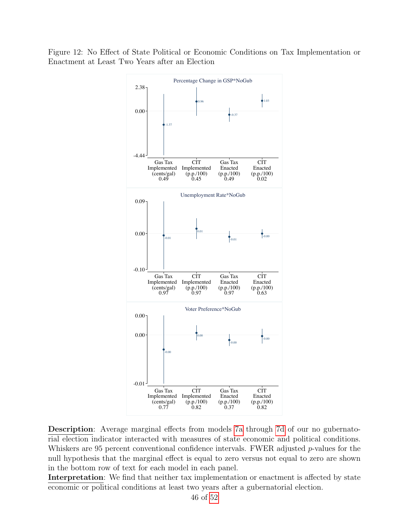<span id="page-46-0"></span>Figure 12: No Effect of State Political or Economic Conditions on Tax Implementation or Enactment at Least Two Years after an Election



Description: Average marginal effects from models [7a](#page-32-0) through [7d](#page-33-0) of our no gubernatorial election indicator interacted with measures of state economic and political conditions. Whiskers are 95 percent conventional confidence intervals. FWER adjusted  $p$ -values for the null hypothesis that the marginal effect is equal to zero versus not equal to zero are shown in the bottom row of text for each model in each panel.

Interpretation: We find that neither tax implementation or enactment is affected by state economic or political conditions at least two years after a gubernatorial election.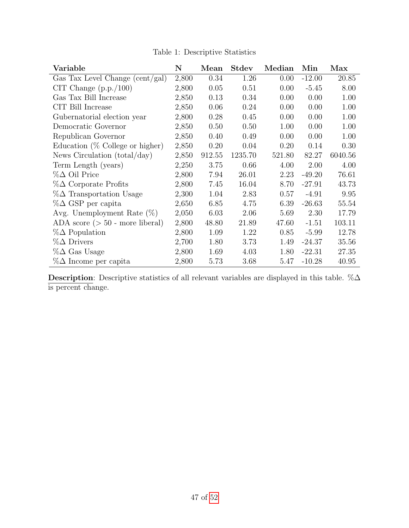<span id="page-47-0"></span>

| Variable                           | $\bf N$ | Mean   | <b>Stdev</b> | Median | Min      | Max     |
|------------------------------------|---------|--------|--------------|--------|----------|---------|
| Gas Tax Level Change (cent/gal)    | 2,800   | 0.34   | 1.26         | 0.00   | $-12.00$ | 20.85   |
| CIT Change $(p.p./100)$            | 2,800   | 0.05   | 0.51         | 0.00   | $-5.45$  | 8.00    |
| Gas Tax Bill Increase              | 2,850   | 0.13   | 0.34         | 0.00   | 0.00     | 1.00    |
| CIT Bill Increase                  | 2,850   | 0.06   | 0.24         | 0.00   | 0.00     | 1.00    |
| Gubernatorial election year        | 2,800   | 0.28   | 0.45         | 0.00   | 0.00     | 1.00    |
| Democratic Governor                | 2,850   | 0.50   | 0.50         | 1.00   | 0.00     | 1.00    |
| Republican Governor                | 2,850   | 0.40   | 0.49         | 0.00   | 0.00     | 1.00    |
| Education $(\%$ College or higher) | 2,850   | 0.20   | 0.04         | 0.20   | 0.14     | 0.30    |
| News Circulation (total/day)       | 2,850   | 912.55 | 1235.70      | 521.80 | 82.27    | 6040.56 |
| Term Length (years)                | 2,250   | 3.75   | 0.66         | 4.00   | 2.00     | 4.00    |
| $\%\Delta$ Oil Price               | 2,800   | 7.94   | 26.01        | 2.23   | $-49.20$ | 76.61   |
| $\%\Delta$ Corporate Profits       | 2,800   | 7.45   | 16.04        | 8.70   | $-27.91$ | 43.73   |
| $\%\Delta$ Transportation Usage    | 2,300   | 1.04   | 2.83         | 0.57   | $-4.91$  | 9.95    |
| $\%\Delta$ GSP per capita          | 2,650   | 6.85   | 4.75         | 6.39   | $-26.63$ | 55.54   |
| Avg. Unemployment Rate $(\%)$      | 2,050   | 6.03   | 2.06         | 5.69   | 2.30     | 17.79   |
| ADA score $(>50$ - more liberal)   | 2,800   | 48.80  | 21.89        | 47.60  | $-1.51$  | 103.11  |
| $\%\Delta$ Population              | 2,800   | 1.09   | 1.22         | 0.85   | $-5.99$  | 12.78   |
| $\%\Delta$ Drivers                 | 2,700   | 1.80   | 3.73         | 1.49   | $-24.37$ | 35.56   |
| $\%\Delta$ Gas Usage               | 2,800   | 1.69   | 4.03         | 1.80   | $-22.31$ | 27.35   |
| $\%\Delta$ Income per capita       | 2,800   | 5.73   | 3.68         | 5.47   | $-10.28$ | 40.95   |

Table 1: Descriptive Statistics

Description: Descriptive statistics of all relevant variables are displayed in this table. % $\Delta$ is percent change.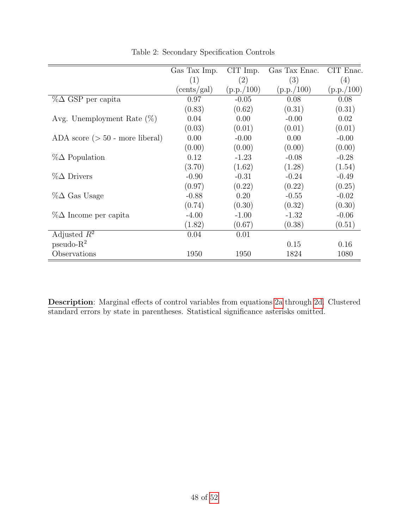<span id="page-48-0"></span>

|                                  | Gas Tax Imp. | CIT Imp.   | Gas Tax Enac. | CIT Enac.         |
|----------------------------------|--------------|------------|---------------|-------------------|
|                                  | (1)          | (2)        | (3)           | $\left( 4\right)$ |
|                                  | (cents/gal)  | (p.p./100) | (p.p./100)    | (p.p./100)        |
| $\%\Delta$ GSP per capita        | 0.97         | $-0.05$    | 0.08          | 0.08              |
|                                  | (0.83)       | (0.62)     | (0.31)        | (0.31)            |
| Avg. Unemployment Rate $(\%)$    | 0.04         | 0.00       | $-0.00$       | 0.02              |
|                                  | (0.03)       | (0.01)     | (0.01)        | (0.01)            |
| ADA score $(>50$ - more liberal) | 0.00         | $-0.00$    | 0.00          | $-0.00$           |
|                                  | (0.00)       | (0.00)     | (0.00)        | (0.00)            |
| $\%\Delta$ Population            | 0.12         | $-1.23$    | $-0.08$       | $-0.28$           |
|                                  | (3.70)       | (1.62)     | (1.28)        | (1.54)            |
| $\%\Delta$ Drivers               | $-0.90$      | $-0.31$    | $-0.24$       | $-0.49$           |
|                                  | (0.97)       | (0.22)     | (0.22)        | (0.25)            |
| $\%\Delta$ Gas Usage             | $-0.88$      | 0.20       | $-0.55$       | $-0.02$           |
|                                  | (0.74)       | (0.30)     | (0.32)        | (0.30)            |
| $\%\Delta$ Income per capita     | $-4.00$      | $-1.00$    | $-1.32$       | $-0.06$           |
|                                  | (1.82)       | (0.67)     | (0.38)        | (0.51)            |
| Adjusted $R^2$                   | 0.04         | 0.01       |               |                   |
| $pseudo-R2$                      |              |            | 0.15          | 0.16              |
| Observations                     | 1950         | 1950       | 1824          | 1080              |

Table 2: Secondary Specification Controls

Description: Marginal effects of control variables from equations [2a](#page-11-1) through [2d.](#page-11-2) Clustered standard errors by state in parentheses. Statistical significance asterisks omitted.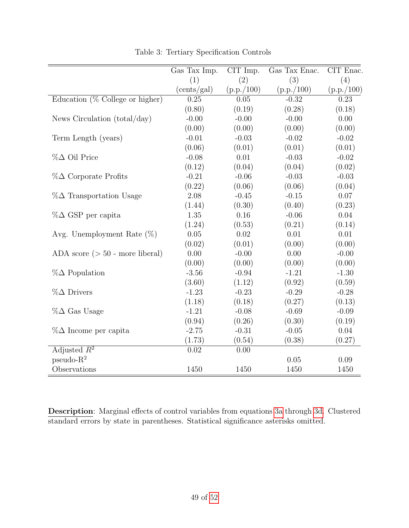|                                     | Gas Tax Imp. | $CIT$ Imp. | Gas Tax Enac. | $\overline{\text{CIT}}$ Enac. |
|-------------------------------------|--------------|------------|---------------|-------------------------------|
|                                     | (1)          | (2)        | (3)           | (4)                           |
|                                     | (cents/gal)  | (p.p./100) | (p.p./100)    | (p.p./100)                    |
| Education ( $\%$ College or higher) | 0.25         | 0.05       | $-0.32$       | 0.23                          |
|                                     | (0.80)       | (0.19)     | (0.28)        | (0.18)                        |
| News Circulation (total/day)        | $-0.00$      | $-0.00$    | $-0.00$       | 0.00                          |
|                                     | (0.00)       | (0.00)     | (0.00)        | (0.00)                        |
| Term Length (years)                 | $-0.01$      | $-0.03$    | $-0.02$       | $-0.02$                       |
|                                     | (0.06)       | (0.01)     | (0.01)        | (0.01)                        |
| $\%\Delta$ Oil Price                | $-0.08$      | 0.01       | $-0.03$       | $-0.02$                       |
|                                     | (0.12)       | (0.04)     | (0.04)        | (0.02)                        |
| $\%\Delta$ Corporate Profits        | $-0.21$      | $-0.06$    | $-0.03$       | $-0.03$                       |
|                                     | (0.22)       | (0.06)     | (0.06)        | (0.04)                        |
| $\%\Delta$ Transportation Usage     | 2.08         | $-0.45$    | $-0.15$       | $0.07\,$                      |
|                                     | (1.44)       | (0.30)     | (0.40)        | (0.23)                        |
| $\%\Delta$ GSP per capita           | 1.35         | 0.16       | $-0.06$       | 0.04                          |
|                                     | (1.24)       | (0.53)     | (0.21)        | (0.14)                        |
| Avg. Unemployment Rate $(\%)$       | 0.05         | 0.02       | 0.01          | 0.01                          |
|                                     | (0.02)       | (0.01)     | (0.00)        | (0.00)                        |
| ADA score ( $> 50$ - more liberal)  | 0.00         | $-0.00$    | 0.00          | $-0.00$                       |
|                                     | (0.00)       | (0.00)     | (0.00)        | (0.00)                        |
| $\%\Delta$ Population               | $-3.56$      | $-0.94$    | $-1.21$       | $-1.30$                       |
|                                     | (3.60)       | (1.12)     | (0.92)        | (0.59)                        |
| $\%\Delta$ Drivers                  | $-1.23$      | $-0.23$    | $-0.29$       | $-0.28$                       |
|                                     | (1.18)       | (0.18)     | (0.27)        | (0.13)                        |
| $\%\Delta$ Gas Usage                | $-1.21$      | $-0.08$    | $-0.69$       | $-0.09$                       |
|                                     | (0.94)       | (0.26)     | (0.30)        | (0.19)                        |
| $\%\Delta$ Income per capita        | $-2.75$      | $-0.31$    | $-0.05$       | 0.04                          |
|                                     | (1.73)       | (0.54)     | (0.38)        | (0.27)                        |
| Adjusted $R^2$                      | 0.02         | 0.00       |               |                               |
| $\mbox{pseudo-R}^2$                 |              |            | 0.05          | 0.09                          |
| Observations                        | 1450         | 1450       | 1450          | 1450                          |

Table 3: Tertiary Specification Controls

Description: Marginal effects of control variables from equations [3a](#page-12-0) through [3d.](#page-12-1) Clustered standard errors by state in parentheses. Statistical significance asterisks omitted.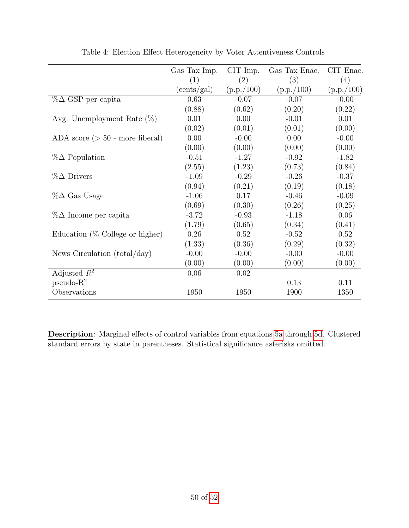|                                    | Gas Tax Imp. | $CIT$ Imp. | Gas Tax Enac. | CIT Enac.  |
|------------------------------------|--------------|------------|---------------|------------|
|                                    | (1)          | (2)        | (3)           | (4)        |
|                                    | (cents/gal)  | (p.p./100) | (p.p./100)    | (p.p./100) |
| $\%\Delta$ GSP per capita          | 0.63         | $-0.07$    | $-0.07$       | $-0.00$    |
|                                    | (0.88)       | (0.62)     | (0.20)        | (0.22)     |
| Avg. Unemployment Rate $(\%)$      | 0.01         | 0.00       | $-0.01$       | 0.01       |
|                                    | (0.02)       | (0.01)     | (0.01)        | (0.00)     |
| ADA score ( $> 50$ - more liberal) | 0.00         | $-0.00$    | 0.00          | $-0.00$    |
|                                    | (0.00)       | (0.00)     | (0.00)        | (0.00)     |
| $\%\Delta$ Population              | $-0.51$      | $-1.27$    | $-0.92$       | $-1.82$    |
|                                    | (2.55)       | (1.23)     | (0.73)        | (0.84)     |
| $\%\Delta$ Drivers                 | $-1.09$      | $-0.29$    | $-0.26$       | $-0.37$    |
|                                    | (0.94)       | (0.21)     | (0.19)        | (0.18)     |
| $\%\Delta$ Gas Usage               | $-1.06$      | 0.17       | $-0.46$       | $-0.09$    |
|                                    | (0.69)       | (0.30)     | (0.26)        | (0.25)     |
| $\%\Delta$ Income per capita       | $-3.72$      | $-0.93$    | $-1.18$       | 0.06       |
|                                    | (1.79)       | (0.65)     | (0.34)        | (0.41)     |
| Education $(\%$ College or higher) | 0.26         | 0.52       | $-0.52$       | 0.52       |
|                                    | (1.33)       | (0.36)     | (0.29)        | (0.32)     |
| News Circulation $(total/day)$     | $-0.00$      | $-0.00$    | $-0.00$       | $-0.00$    |
|                                    | (0.00)       | (0.00)     | (0.00)        | (0.00)     |
| Adjusted $R^2$                     | 0.06         | 0.02       |               |            |
| $pseudo-R2$                        |              |            | 0.13          | 0.11       |
| Observations                       | 1950         | 1950       | 1900          | 1350       |

Table 4: Election Effect Heterogeneity by Voter Attentiveness Controls

Description: Marginal effects of control variables from equations [5a](#page-28-1) through [5d.](#page-29-0) Clustered standard errors by state in parentheses. Statistical significance asterisks omitted.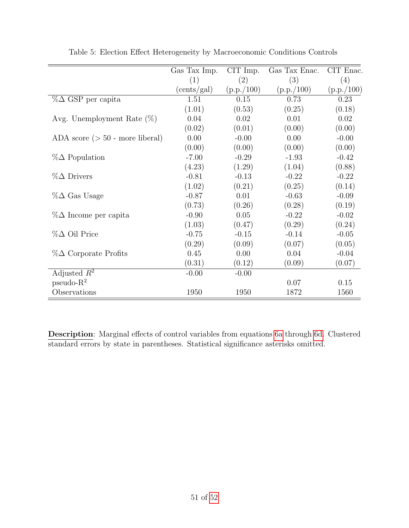|                                    | Gas Tax Imp. | $CIT$ Imp. | Gas Tax Enac. | CIT Enac.  |
|------------------------------------|--------------|------------|---------------|------------|
|                                    | (1)          | (2)        | (3)           | (4)        |
|                                    | (cents/gal)  | (p.p./100) | (p.p./100)    | (p.p./100) |
| $\%\Delta$ GSP per capita          | 1.51         | 0.15       | 0.73          | 0.23       |
|                                    | (1.01)       | (0.53)     | (0.25)        | (0.18)     |
| Avg. Unemployment Rate $(\%)$      | 0.04         | 0.02       | 0.01          | 0.02       |
|                                    | (0.02)       | (0.01)     | (0.00)        | (0.00)     |
| ADA score ( $> 50$ - more liberal) | 0.00         | $-0.00$    | 0.00          | $-0.00$    |
|                                    | (0.00)       | (0.00)     | (0.00)        | (0.00)     |
| $\%\Delta$ Population              | $-7.00$      | $-0.29$    | $-1.93$       | $-0.42$    |
|                                    | (4.23)       | (1.29)     | (1.04)        | (0.88)     |
| $\%\Delta$ Drivers                 | $-0.81$      | $-0.13$    | $-0.22$       | $-0.22$    |
|                                    | (1.02)       | (0.21)     | (0.25)        | (0.14)     |
| $\%\Delta$ Gas Usage               | $-0.87$      | 0.01       | $-0.63$       | $-0.09$    |
|                                    | (0.73)       | (0.26)     | (0.28)        | (0.19)     |
| $\%\Delta$ Income per capita       | $-0.90$      | 0.05       | $-0.22$       | $-0.02$    |
|                                    | (1.03)       | (0.47)     | (0.29)        | (0.24)     |
| $\%\Delta$ Oil Price               | $-0.75$      | $-0.15$    | $-0.14$       | $-0.05$    |
|                                    | (0.29)       | (0.09)     | (0.07)        | (0.05)     |
| $\%\Delta$ Corporate Profits       | 0.45         | 0.00       | 0.04          | $-0.04$    |
|                                    | (0.31)       | (0.12)     | (0.09)        | (0.07)     |
| Adjusted $R^2$                     | $-0.00$      | $-0.00$    |               |            |
| $pseudo-R2$                        |              |            | 0.07          | 0.15       |
| Observations                       | 1950         | 1950       | 1872          | 1560       |

Table 5: Election Effect Heterogeneity by Macroeconomic Conditions Controls

Description: Marginal effects of control variables from equations [6a](#page-30-0) through [6d.](#page-31-0) Clustered standard errors by state in parentheses. Statistical significance asterisks omitted.